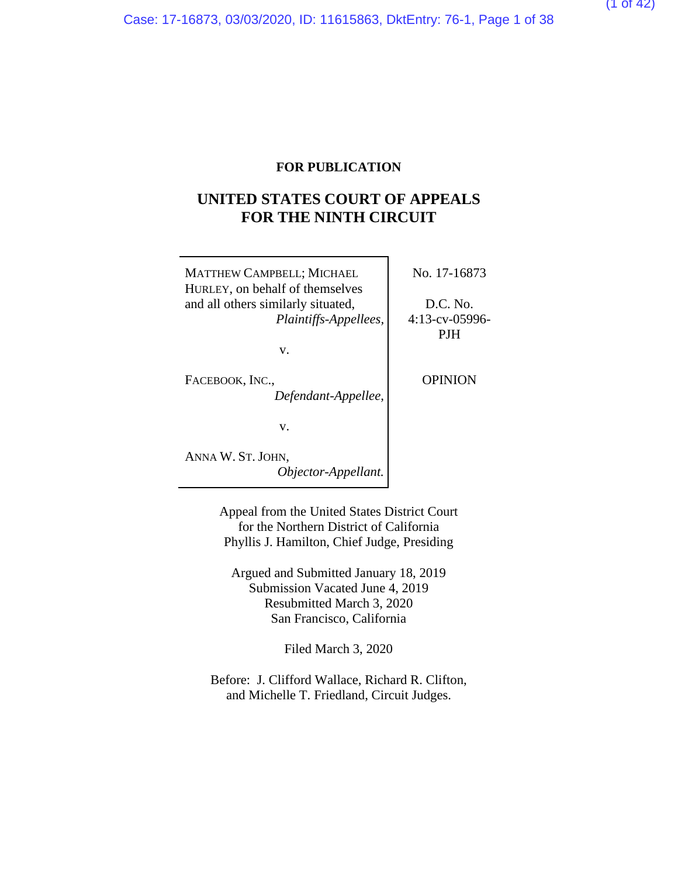#### **FOR PUBLICATION**

### **UNITED STATES COURT OF APPEALS FOR THE NINTH CIRCUIT**

| <b>MATTHEW CAMPBELL; MICHAEL</b><br>HURLEY, on behalf of themselves | No. 17-16873                  |
|---------------------------------------------------------------------|-------------------------------|
| and all others similarly situated,<br>Plaintiffs-Appellees,         | D.C. No.<br>$4:13$ -cv-05996- |
| v.                                                                  | PJH                           |
| FACEBOOK, INC.,<br>Defendant-Appellee,                              | <b>OPINION</b>                |
| V.                                                                  |                               |
| ANNA W. ST. JOHN,<br>Objector-Appellant.                            |                               |

Appeal from the United States District Court for the Northern District of California Phyllis J. Hamilton, Chief Judge, Presiding

Argued and Submitted January 18, 2019 Submission Vacated June 4, 2019 Resubmitted March 3, 2020 San Francisco, California

Filed March 3, 2020

Before: J. Clifford Wallace, Richard R. Clifton, and Michelle T. Friedland, Circuit Judges.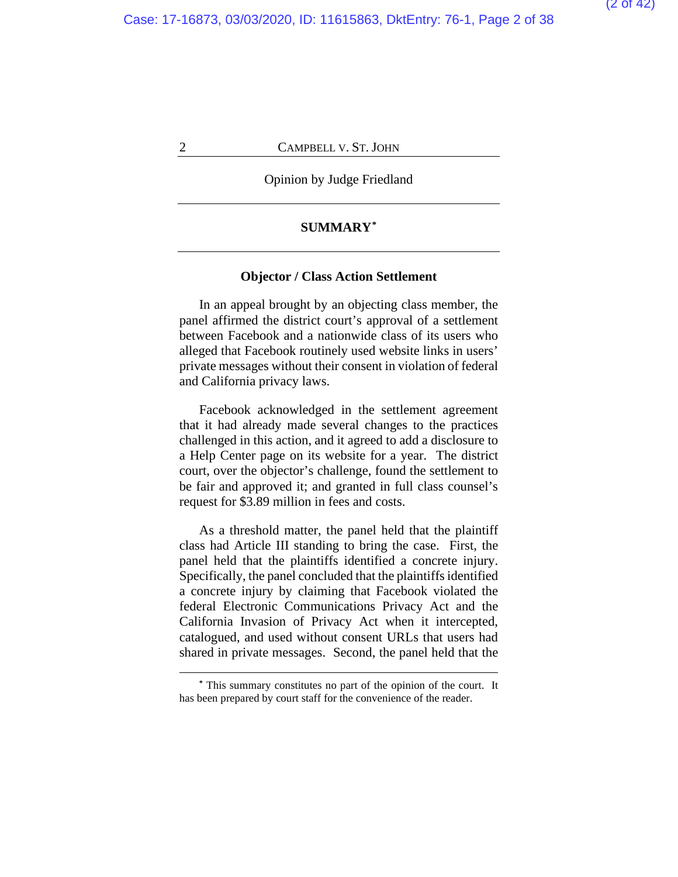### Opinion by Judge Friedland

#### **SUMMARY[\\*](#page-37-0)**

#### **Objector / Class Action Settlement**

In an appeal brought by an objecting class member, the panel affirmed the district court's approval of a settlement between Facebook and a nationwide class of its users who alleged that Facebook routinely used website links in users' private messages without their consent in violation of federal and California privacy laws.

Facebook acknowledged in the settlement agreement that it had already made several changes to the practices challenged in this action, and it agreed to add a disclosure to a Help Center page on its website for a year. The district court, over the objector's challenge, found the settlement to be fair and approved it; and granted in full class counsel's request for \$3.89 million in fees and costs.

As a threshold matter, the panel held that the plaintiff class had Article III standing to bring the case. First, the panel held that the plaintiffs identified a concrete injury. Specifically, the panel concluded that the plaintiffs identified a concrete injury by claiming that Facebook violated the federal Electronic Communications Privacy Act and the California Invasion of Privacy Act when it intercepted, catalogued, and used without consent URLs that users had shared in private messages. Second, the panel held that the

**<sup>\*</sup>** This summary constitutes no part of the opinion of the court. It has been prepared by court staff for the convenience of the reader.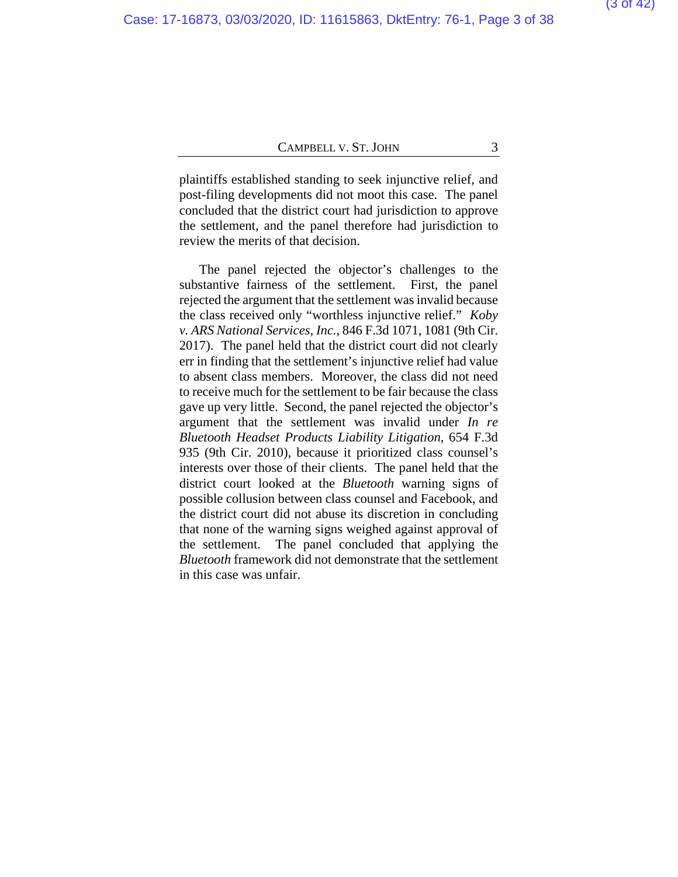plaintiffs established standing to seek injunctive relief, and post-filing developments did not moot this case. The panel concluded that the district court had jurisdiction to approve the settlement, and the panel therefore had jurisdiction to review the merits of that decision.

The panel rejected the objector's challenges to the substantive fairness of the settlement. First, the panel rejected the argument that the settlement was invalid because the class received only "worthless injunctive relief." *Koby v. ARS National Services, Inc.*, 846 F.3d 1071, 1081 (9th Cir. 2017). The panel held that the district court did not clearly err in finding that the settlement's injunctive relief had value to absent class members. Moreover, the class did not need to receive much for the settlement to be fair because the class gave up very little. Second, the panel rejected the objector's argument that the settlement was invalid under *In re Bluetooth Headset Products Liability Litigation*, 654 F.3d 935 (9th Cir. 2010), because it prioritized class counsel's interests over those of their clients. The panel held that the district court looked at the *Bluetooth* warning signs of possible collusion between class counsel and Facebook, and the district court did not abuse its discretion in concluding that none of the warning signs weighed against approval of the settlement. The panel concluded that applying the *Bluetooth* framework did not demonstrate that the settlement in this case was unfair.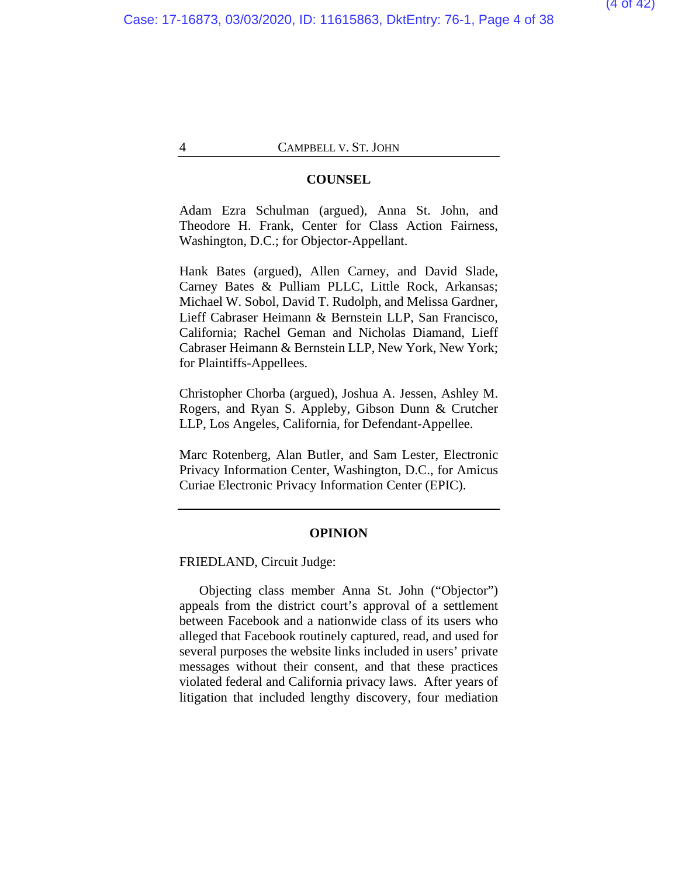#### **COUNSEL**

Adam Ezra Schulman (argued), Anna St. John, and Theodore H. Frank, Center for Class Action Fairness, Washington, D.C.; for Objector-Appellant.

Hank Bates (argued), Allen Carney, and David Slade, Carney Bates & Pulliam PLLC, Little Rock, Arkansas; Michael W. Sobol, David T. Rudolph, and Melissa Gardner, Lieff Cabraser Heimann & Bernstein LLP, San Francisco, California; Rachel Geman and Nicholas Diamand, Lieff Cabraser Heimann & Bernstein LLP, New York, New York; for Plaintiffs-Appellees.

Christopher Chorba (argued), Joshua A. Jessen, Ashley M. Rogers, and Ryan S. Appleby, Gibson Dunn & Crutcher LLP, Los Angeles, California, for Defendant-Appellee.

Marc Rotenberg, Alan Butler, and Sam Lester, Electronic Privacy Information Center, Washington, D.C., for Amicus Curiae Electronic Privacy Information Center (EPIC).

#### **OPINION**

FRIEDLAND, Circuit Judge:

Objecting class member Anna St. John ("Objector") appeals from the district court's approval of a settlement between Facebook and a nationwide class of its users who alleged that Facebook routinely captured, read, and used for several purposes the website links included in users' private messages without their consent, and that these practices violated federal and California privacy laws. After years of litigation that included lengthy discovery, four mediation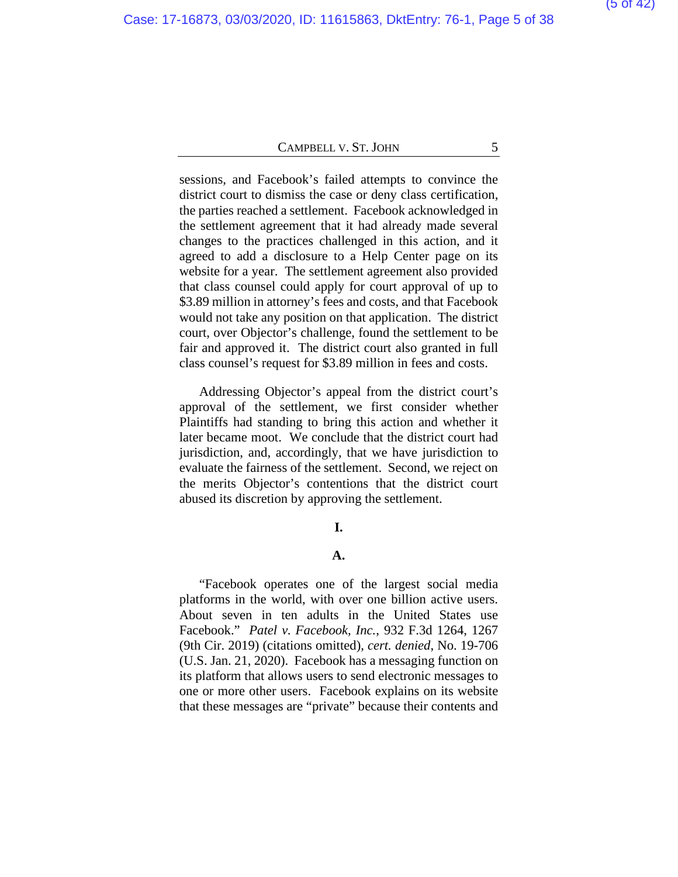sessions, and Facebook's failed attempts to convince the district court to dismiss the case or deny class certification, the parties reached a settlement. Facebook acknowledged in the settlement agreement that it had already made several changes to the practices challenged in this action, and it agreed to add a disclosure to a Help Center page on its website for a year. The settlement agreement also provided that class counsel could apply for court approval of up to \$3.89 million in attorney's fees and costs, and that Facebook would not take any position on that application. The district court, over Objector's challenge, found the settlement to be fair and approved it. The district court also granted in full class counsel's request for \$3.89 million in fees and costs.

Addressing Objector's appeal from the district court's approval of the settlement, we first consider whether Plaintiffs had standing to bring this action and whether it later became moot. We conclude that the district court had jurisdiction, and, accordingly, that we have jurisdiction to evaluate the fairness of the settlement. Second, we reject on the merits Objector's contentions that the district court abused its discretion by approving the settlement.

#### **I.**

#### **A.**

"Facebook operates one of the largest social media platforms in the world, with over one billion active users. About seven in ten adults in the United States use Facebook." *Patel v. Facebook, Inc.*, 932 F.3d 1264, 1267 (9th Cir. 2019) (citations omitted), *cert. denied*, No. 19-706 (U.S. Jan. 21, 2020). Facebook has a messaging function on its platform that allows users to send electronic messages to one or more other users. Facebook explains on its website that these messages are "private" because their contents and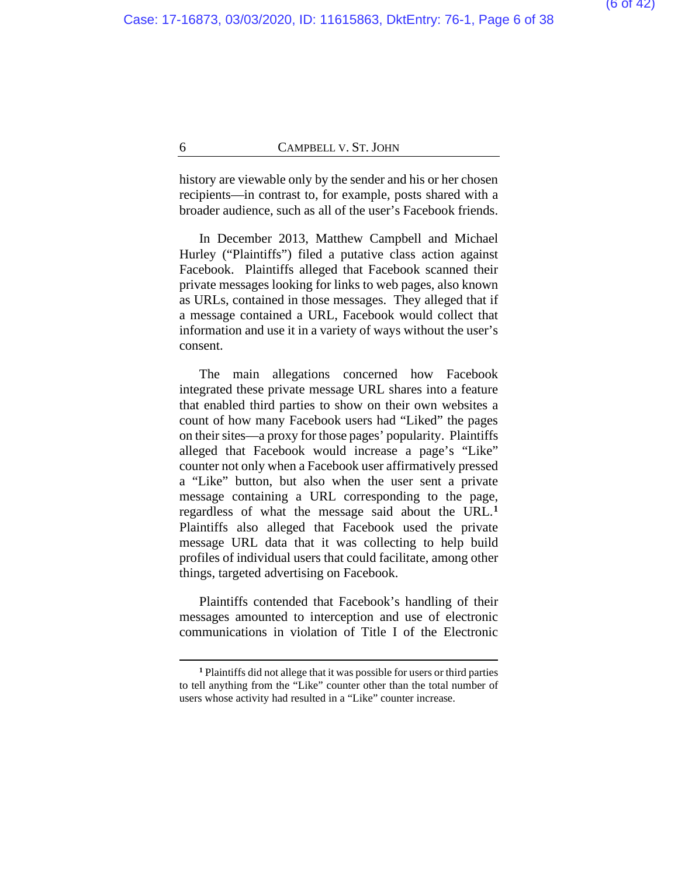history are viewable only by the sender and his or her chosen recipients—in contrast to, for example, posts shared with a broader audience, such as all of the user's Facebook friends.

In December 2013, Matthew Campbell and Michael Hurley ("Plaintiffs") filed a putative class action against Facebook. Plaintiffs alleged that Facebook scanned their private messages looking for links to web pages, also known as URLs, contained in those messages. They alleged that if a message contained a URL, Facebook would collect that information and use it in a variety of ways without the user's consent.

The main allegations concerned how Facebook integrated these private message URL shares into a feature that enabled third parties to show on their own websites a count of how many Facebook users had "Liked" the pages on their sites—a proxy for those pages' popularity. Plaintiffs alleged that Facebook would increase a page's "Like" counter not only when a Facebook user affirmatively pressed a "Like" button, but also when the user sent a private message containing a URL corresponding to the page, regardless of what the message said about the URL.**[1](#page-37-0)** Plaintiffs also alleged that Facebook used the private message URL data that it was collecting to help build profiles of individual users that could facilitate, among other things, targeted advertising on Facebook.

Plaintiffs contended that Facebook's handling of their messages amounted to interception and use of electronic communications in violation of Title I of the Electronic

**<sup>1</sup>** Plaintiffs did not allege that it was possible for users or third parties to tell anything from the "Like" counter other than the total number of users whose activity had resulted in a "Like" counter increase.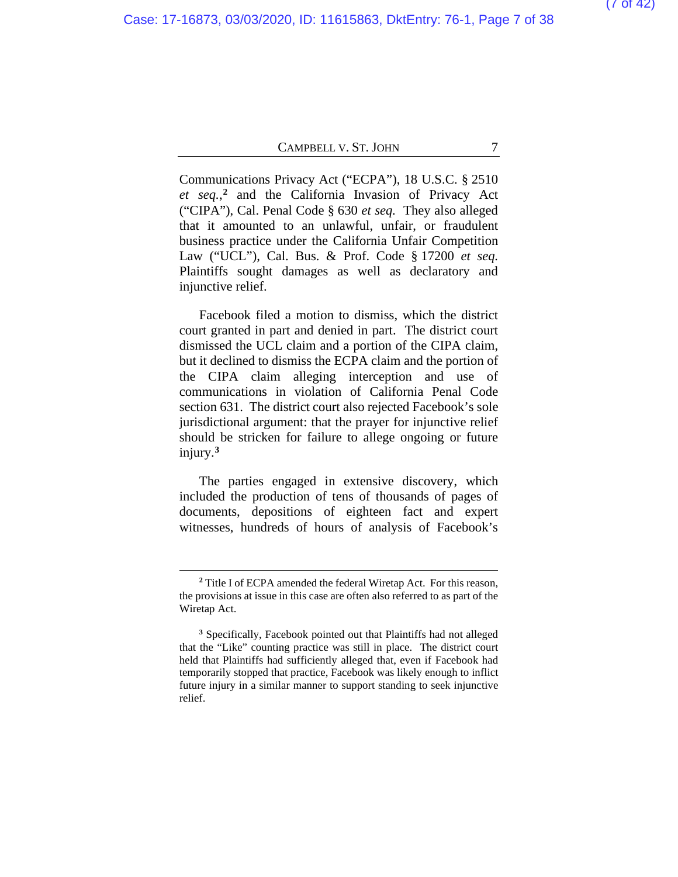Communications Privacy Act ("ECPA"), 18 U.S.C. § 2510 *et seq.*, **[2](#page-37-0)** and the California Invasion of Privacy Act ("CIPA"), Cal. Penal Code § 630 *et seq.* They also alleged that it amounted to an unlawful, unfair, or fraudulent business practice under the California Unfair Competition Law ("UCL"), Cal. Bus. & Prof. Code § 17200 *et seq.* Plaintiffs sought damages as well as declaratory and injunctive relief.

Facebook filed a motion to dismiss, which the district court granted in part and denied in part. The district court dismissed the UCL claim and a portion of the CIPA claim, but it declined to dismiss the ECPA claim and the portion of the CIPA claim alleging interception and use of communications in violation of California Penal Code section 631. The district court also rejected Facebook's sole jurisdictional argument: that the prayer for injunctive relief should be stricken for failure to allege ongoing or future injury.**[3](#page-37-0)**

The parties engaged in extensive discovery, which included the production of tens of thousands of pages of documents, depositions of eighteen fact and expert witnesses, hundreds of hours of analysis of Facebook's

**<sup>2</sup>** Title I of ECPA amended the federal Wiretap Act. For this reason, the provisions at issue in this case are often also referred to as part of the Wiretap Act.

**<sup>3</sup>** Specifically, Facebook pointed out that Plaintiffs had not alleged that the "Like" counting practice was still in place. The district court held that Plaintiffs had sufficiently alleged that, even if Facebook had temporarily stopped that practice, Facebook was likely enough to inflict future injury in a similar manner to support standing to seek injunctive relief.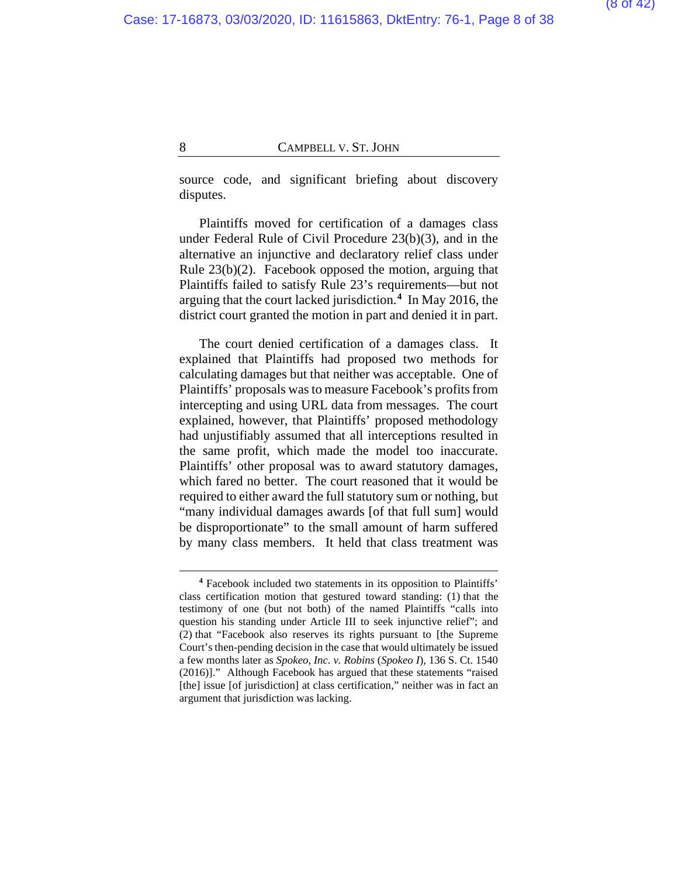source code, and significant briefing about discovery disputes.

Plaintiffs moved for certification of a damages class under Federal Rule of Civil Procedure 23(b)(3), and in the alternative an injunctive and declaratory relief class under Rule 23(b)(2). Facebook opposed the motion, arguing that Plaintiffs failed to satisfy Rule 23's requirements—but not arguing that the court lacked jurisdiction.**[4](#page-37-0)** In May 2016, the district court granted the motion in part and denied it in part.

The court denied certification of a damages class. It explained that Plaintiffs had proposed two methods for calculating damages but that neither was acceptable. One of Plaintiffs' proposals was to measure Facebook's profits from intercepting and using URL data from messages. The court explained, however, that Plaintiffs' proposed methodology had unjustifiably assumed that all interceptions resulted in the same profit, which made the model too inaccurate. Plaintiffs' other proposal was to award statutory damages, which fared no better. The court reasoned that it would be required to either award the full statutory sum or nothing, but "many individual damages awards [of that full sum] would be disproportionate" to the small amount of harm suffered by many class members. It held that class treatment was

**<sup>4</sup>** Facebook included two statements in its opposition to Plaintiffs' class certification motion that gestured toward standing: (1) that the testimony of one (but not both) of the named Plaintiffs "calls into question his standing under Article III to seek injunctive relief"; and (2) that "Facebook also reserves its rights pursuant to [the Supreme Court's then-pending decision in the case that would ultimately be issued a few months later as *Spokeo, Inc. v. Robins* (*Spokeo I*), 136 S. Ct. 1540 (2016)]." Although Facebook has argued that these statements "raised [the] issue [of jurisdiction] at class certification," neither was in fact an argument that jurisdiction was lacking.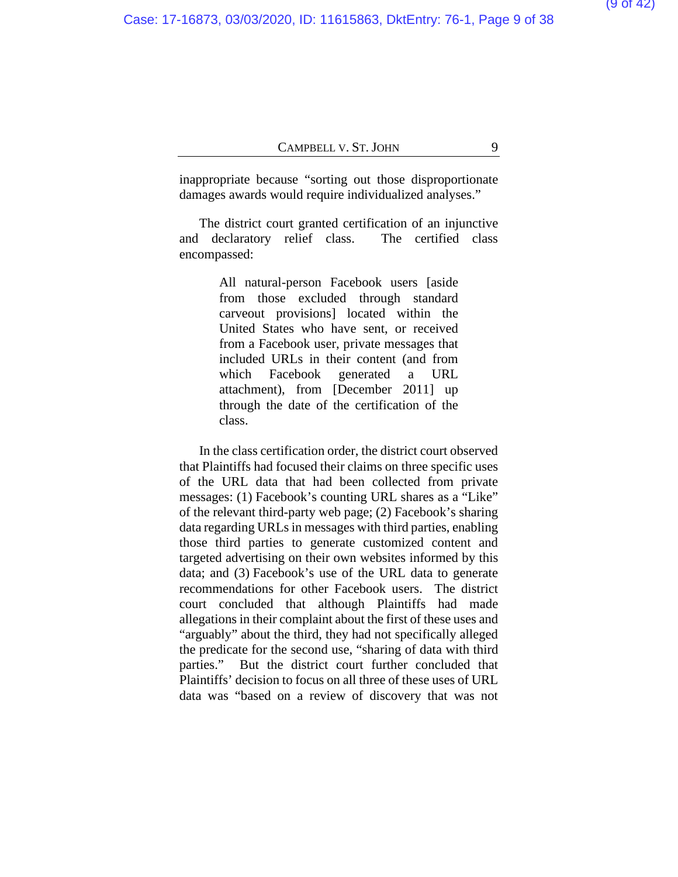inappropriate because "sorting out those disproportionate damages awards would require individualized analyses."

The district court granted certification of an injunctive and declaratory relief class. The certified class encompassed:

> All natural-person Facebook users [aside from those excluded through standard carveout provisions] located within the United States who have sent, or received from a Facebook user, private messages that included URLs in their content (and from which Facebook generated a URL attachment), from [December 2011] up through the date of the certification of the class.

In the class certification order, the district court observed that Plaintiffs had focused their claims on three specific uses of the URL data that had been collected from private messages: (1) Facebook's counting URL shares as a "Like" of the relevant third-party web page; (2) Facebook's sharing data regarding URLs in messages with third parties, enabling those third parties to generate customized content and targeted advertising on their own websites informed by this data; and (3) Facebook's use of the URL data to generate recommendations for other Facebook users. The district court concluded that although Plaintiffs had made allegations in their complaint about the first of these uses and "arguably" about the third, they had not specifically alleged the predicate for the second use, "sharing of data with third parties." But the district court further concluded that Plaintiffs' decision to focus on all three of these uses of URL data was "based on a review of discovery that was not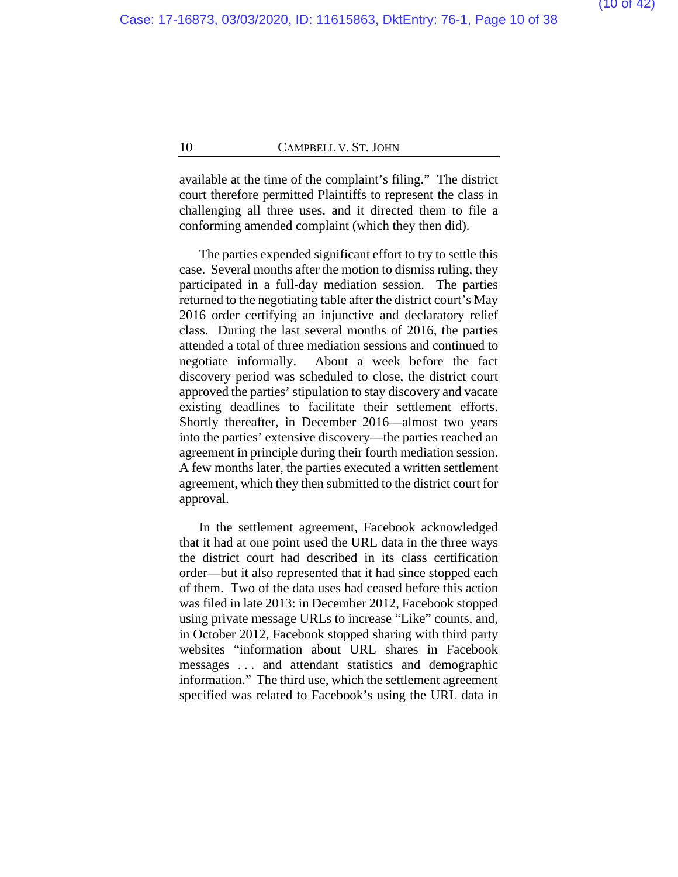available at the time of the complaint's filing." The district court therefore permitted Plaintiffs to represent the class in challenging all three uses, and it directed them to file a conforming amended complaint (which they then did).

The parties expended significant effort to try to settle this case. Several months after the motion to dismiss ruling, they participated in a full-day mediation session. The parties returned to the negotiating table after the district court's May 2016 order certifying an injunctive and declaratory relief class. During the last several months of 2016, the parties attended a total of three mediation sessions and continued to negotiate informally. About a week before the fact discovery period was scheduled to close, the district court approved the parties' stipulation to stay discovery and vacate existing deadlines to facilitate their settlement efforts. Shortly thereafter, in December 2016—almost two years into the parties' extensive discovery—the parties reached an agreement in principle during their fourth mediation session. A few months later, the parties executed a written settlement agreement, which they then submitted to the district court for approval.

In the settlement agreement, Facebook acknowledged that it had at one point used the URL data in the three ways the district court had described in its class certification order—but it also represented that it had since stopped each of them. Two of the data uses had ceased before this action was filed in late 2013: in December 2012, Facebook stopped using private message URLs to increase "Like" counts, and, in October 2012, Facebook stopped sharing with third party websites "information about URL shares in Facebook messages . . . and attendant statistics and demographic information." The third use, which the settlement agreement specified was related to Facebook's using the URL data in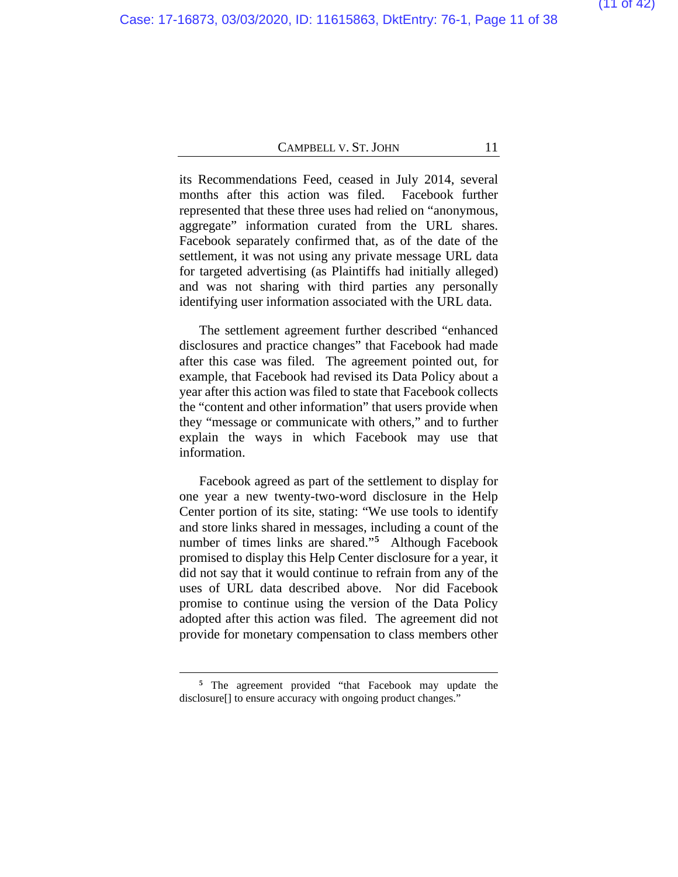its Recommendations Feed, ceased in July 2014, several months after this action was filed. Facebook further represented that these three uses had relied on "anonymous, aggregate" information curated from the URL shares. Facebook separately confirmed that, as of the date of the settlement, it was not using any private message URL data for targeted advertising (as Plaintiffs had initially alleged) and was not sharing with third parties any personally identifying user information associated with the URL data.

The settlement agreement further described "enhanced disclosures and practice changes" that Facebook had made after this case was filed. The agreement pointed out, for example, that Facebook had revised its Data Policy about a year after this action was filed to state that Facebook collects the "content and other information" that users provide when they "message or communicate with others," and to further explain the ways in which Facebook may use that information.

Facebook agreed as part of the settlement to display for one year a new twenty-two-word disclosure in the Help Center portion of its site, stating: "We use tools to identify and store links shared in messages, including a count of the number of times links are shared."**[5](#page-37-0)** Although Facebook promised to display this Help Center disclosure for a year, it did not say that it would continue to refrain from any of the uses of URL data described above. Nor did Facebook promise to continue using the version of the Data Policy adopted after this action was filed. The agreement did not provide for monetary compensation to class members other

**<sup>5</sup>** The agreement provided "that Facebook may update the disclosure[] to ensure accuracy with ongoing product changes."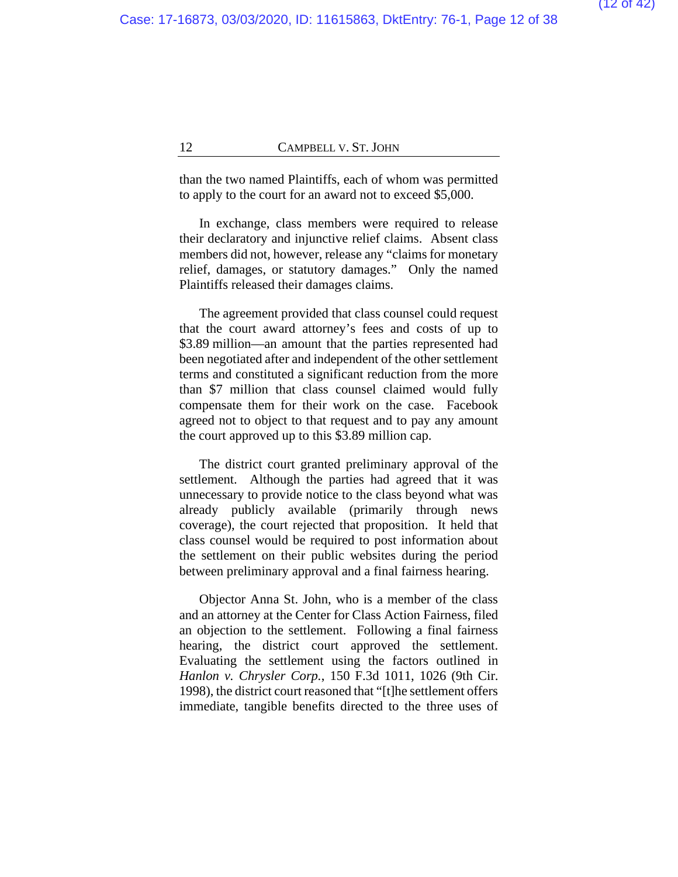than the two named Plaintiffs, each of whom was permitted to apply to the court for an award not to exceed \$5,000.

In exchange, class members were required to release their declaratory and injunctive relief claims. Absent class members did not, however, release any "claims for monetary relief, damages, or statutory damages." Only the named Plaintiffs released their damages claims.

The agreement provided that class counsel could request that the court award attorney's fees and costs of up to \$3.89 million—an amount that the parties represented had been negotiated after and independent of the other settlement terms and constituted a significant reduction from the more than \$7 million that class counsel claimed would fully compensate them for their work on the case. Facebook agreed not to object to that request and to pay any amount the court approved up to this \$3.89 million cap.

The district court granted preliminary approval of the settlement. Although the parties had agreed that it was unnecessary to provide notice to the class beyond what was already publicly available (primarily through news coverage), the court rejected that proposition. It held that class counsel would be required to post information about the settlement on their public websites during the period between preliminary approval and a final fairness hearing.

Objector Anna St. John, who is a member of the class and an attorney at the Center for Class Action Fairness, filed an objection to the settlement. Following a final fairness hearing, the district court approved the settlement. Evaluating the settlement using the factors outlined in *Hanlon v. Chrysler Corp.*, 150 F.3d 1011, 1026 (9th Cir. 1998), the district court reasoned that "[t]he settlement offers immediate, tangible benefits directed to the three uses of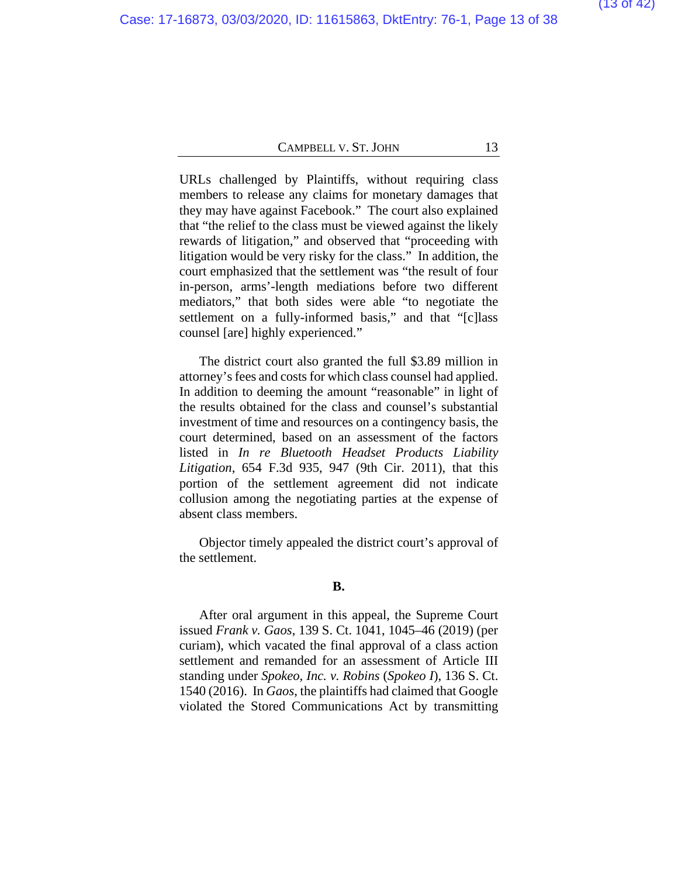URLs challenged by Plaintiffs, without requiring class members to release any claims for monetary damages that they may have against Facebook." The court also explained that "the relief to the class must be viewed against the likely rewards of litigation," and observed that "proceeding with litigation would be very risky for the class." In addition, the court emphasized that the settlement was "the result of four in-person, arms'-length mediations before two different mediators," that both sides were able "to negotiate the settlement on a fully-informed basis," and that "[c]lass counsel [are] highly experienced."

The district court also granted the full \$3.89 million in attorney's fees and costs for which class counsel had applied. In addition to deeming the amount "reasonable" in light of the results obtained for the class and counsel's substantial investment of time and resources on a contingency basis, the court determined, based on an assessment of the factors listed in *In re Bluetooth Headset Products Liability Litigation*, 654 F.3d 935, 947 (9th Cir. 2011), that this portion of the settlement agreement did not indicate collusion among the negotiating parties at the expense of absent class members.

Objector timely appealed the district court's approval of the settlement.

#### **B.**

After oral argument in this appeal, the Supreme Court issued *Frank v. Gaos*, 139 S. Ct. 1041, 1045–46 (2019) (per curiam), which vacated the final approval of a class action settlement and remanded for an assessment of Article III standing under *Spokeo, Inc. v. Robins* (*Spokeo I*), 136 S. Ct. 1540 (2016). In *Gaos*, the plaintiffs had claimed that Google violated the Stored Communications Act by transmitting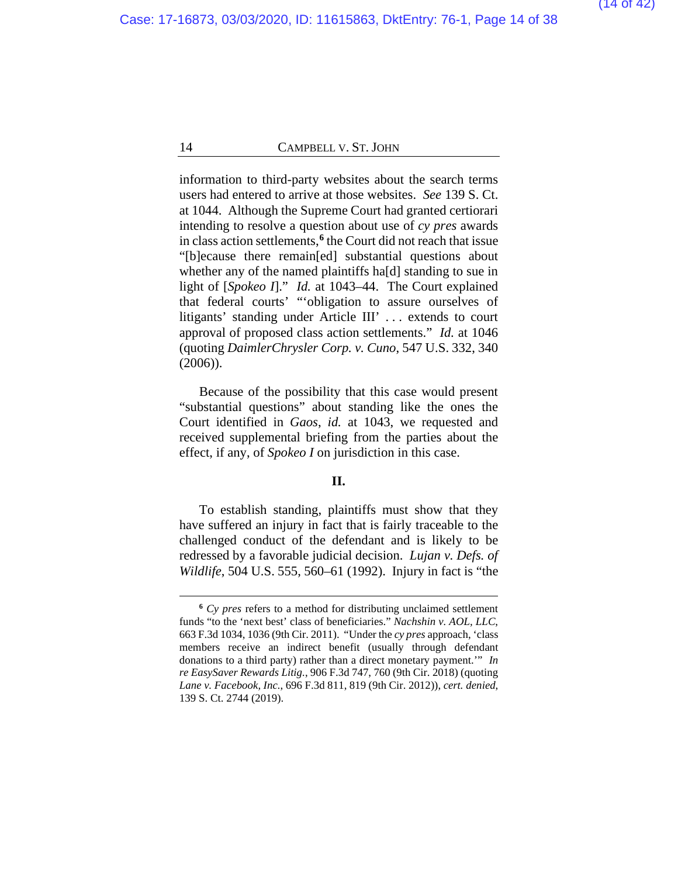information to third-party websites about the search terms users had entered to arrive at those websites. *See* 139 S. Ct. at 1044. Although the Supreme Court had granted certiorari intending to resolve a question about use of *cy pres* awards in class action settlements,**[6](#page-37-0)** the Court did not reach that issue "[b]ecause there remain[ed] substantial questions about whether any of the named plaintiffs ha[d] standing to sue in light of [*Spokeo I*]." *Id.* at 1043–44. The Court explained that federal courts' "'obligation to assure ourselves of litigants' standing under Article III' . . . extends to court approval of proposed class action settlements." *Id.* at 1046 (quoting *DaimlerChrysler Corp. v. Cuno*, 547 U.S. 332, 340 (2006)).

Because of the possibility that this case would present "substantial questions" about standing like the ones the Court identified in *Gaos*, *id.* at 1043, we requested and received supplemental briefing from the parties about the effect, if any, of *Spokeo I* on jurisdiction in this case.

#### **II.**

To establish standing, plaintiffs must show that they have suffered an injury in fact that is fairly traceable to the challenged conduct of the defendant and is likely to be redressed by a favorable judicial decision. *Lujan v. Defs. of Wildlife*, 504 U.S. 555, 560–61 (1992). Injury in fact is "the

**<sup>6</sup>** *Cy pres* refers to a method for distributing unclaimed settlement funds "to the 'next best' class of beneficiaries." *Nachshin v. AOL, LLC*, 663 F.3d 1034, 1036 (9th Cir. 2011). "Under the *cy pres* approach, 'class members receive an indirect benefit (usually through defendant donations to a third party) rather than a direct monetary payment.'" *In re EasySaver Rewards Litig.*, 906 F.3d 747, 760 (9th Cir. 2018) (quoting *Lane v. Facebook, Inc.*, 696 F.3d 811, 819 (9th Cir. 2012)), *cert. denied*, 139 S. Ct. 2744 (2019).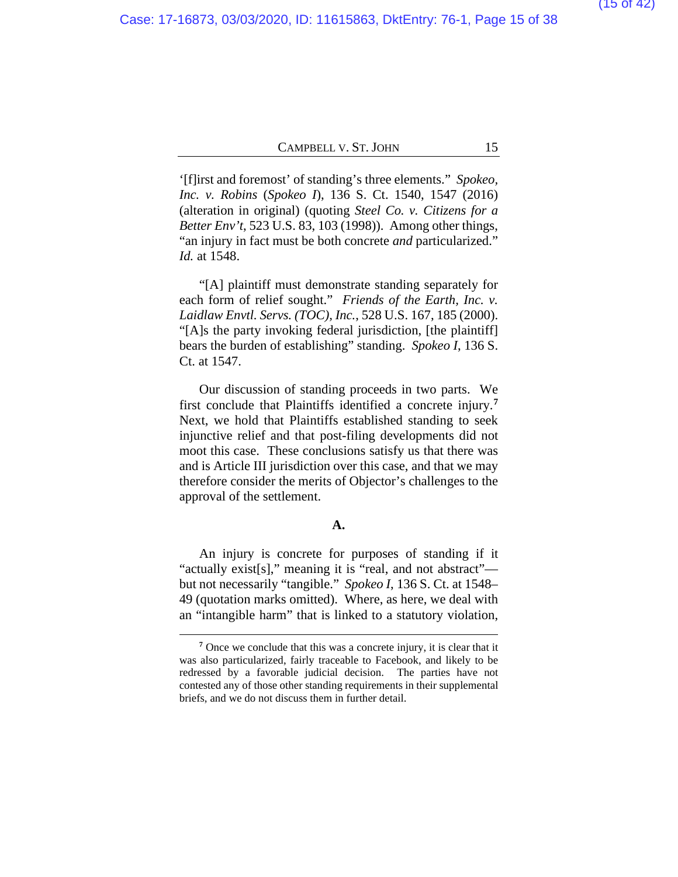'[f]irst and foremost' of standing's three elements." *Spokeo, Inc. v. Robins* (*Spokeo I*), 136 S. Ct. 1540, 1547 (2016) (alteration in original) (quoting *Steel Co. v. Citizens for a Better Env't*, 523 U.S. 83, 103 (1998)). Among other things, "an injury in fact must be both concrete *and* particularized." *Id.* at 1548.

"[A] plaintiff must demonstrate standing separately for each form of relief sought." *Friends of the Earth, Inc. v. Laidlaw Envtl. Servs. (TOC), Inc.*, 528 U.S. 167, 185 (2000). "[A]s the party invoking federal jurisdiction, [the plaintiff] bears the burden of establishing" standing. *Spokeo I*, 136 S. Ct. at 1547.

Our discussion of standing proceeds in two parts. We first conclude that Plaintiffs identified a concrete injury.**[7](#page-37-0)** Next, we hold that Plaintiffs established standing to seek injunctive relief and that post-filing developments did not moot this case. These conclusions satisfy us that there was and is Article III jurisdiction over this case, and that we may therefore consider the merits of Objector's challenges to the approval of the settlement.

#### **A.**

An injury is concrete for purposes of standing if it "actually exist[s]," meaning it is "real, and not abstract" but not necessarily "tangible." *Spokeo I*, 136 S. Ct. at 1548– 49 (quotation marks omitted). Where, as here, we deal with an "intangible harm" that is linked to a statutory violation,

**<sup>7</sup>** Once we conclude that this was a concrete injury, it is clear that it was also particularized, fairly traceable to Facebook, and likely to be redressed by a favorable judicial decision. The parties have not contested any of those other standing requirements in their supplemental briefs, and we do not discuss them in further detail.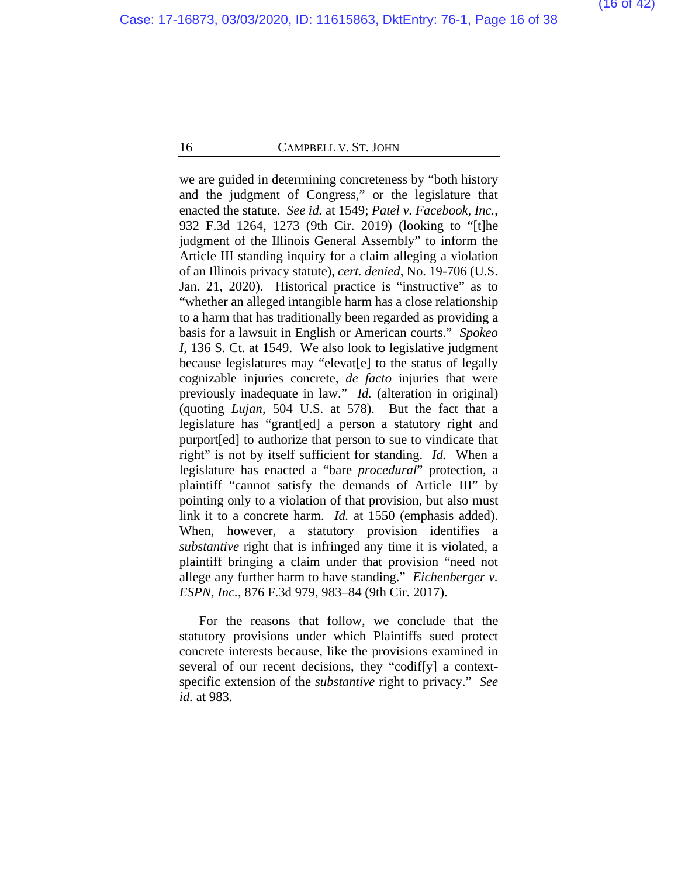we are guided in determining concreteness by "both history and the judgment of Congress," or the legislature that enacted the statute. *See id.* at 1549; *Patel v. Facebook, Inc.*, 932 F.3d 1264, 1273 (9th Cir. 2019) (looking to "[t]he judgment of the Illinois General Assembly" to inform the Article III standing inquiry for a claim alleging a violation of an Illinois privacy statute), *cert. denied*, No. 19-706 (U.S. Jan. 21, 2020). Historical practice is "instructive" as to "whether an alleged intangible harm has a close relationship to a harm that has traditionally been regarded as providing a basis for a lawsuit in English or American courts." *Spokeo I*, 136 S. Ct. at 1549.We also look to legislative judgment because legislatures may "elevat[e] to the status of legally cognizable injuries concrete, *de facto* injuries that were previously inadequate in law." *Id.* (alteration in original) (quoting *Lujan*, 504 U.S. at 578). But the fact that a legislature has "grant[ed] a person a statutory right and purport[ed] to authorize that person to sue to vindicate that right" is not by itself sufficient for standing. *Id.* When a legislature has enacted a "bare *procedural*" protection, a plaintiff "cannot satisfy the demands of Article III" by pointing only to a violation of that provision, but also must link it to a concrete harm. *Id.* at 1550 (emphasis added). When, however, a statutory provision identifies a *substantive* right that is infringed any time it is violated, a plaintiff bringing a claim under that provision "need not allege any further harm to have standing." *Eichenberger v. ESPN, Inc.*, 876 F.3d 979, 983–84 (9th Cir. 2017).

For the reasons that follow, we conclude that the statutory provisions under which Plaintiffs sued protect concrete interests because, like the provisions examined in several of our recent decisions, they "codif[y] a contextspecific extension of the *substantive* right to privacy." *See id.* at 983.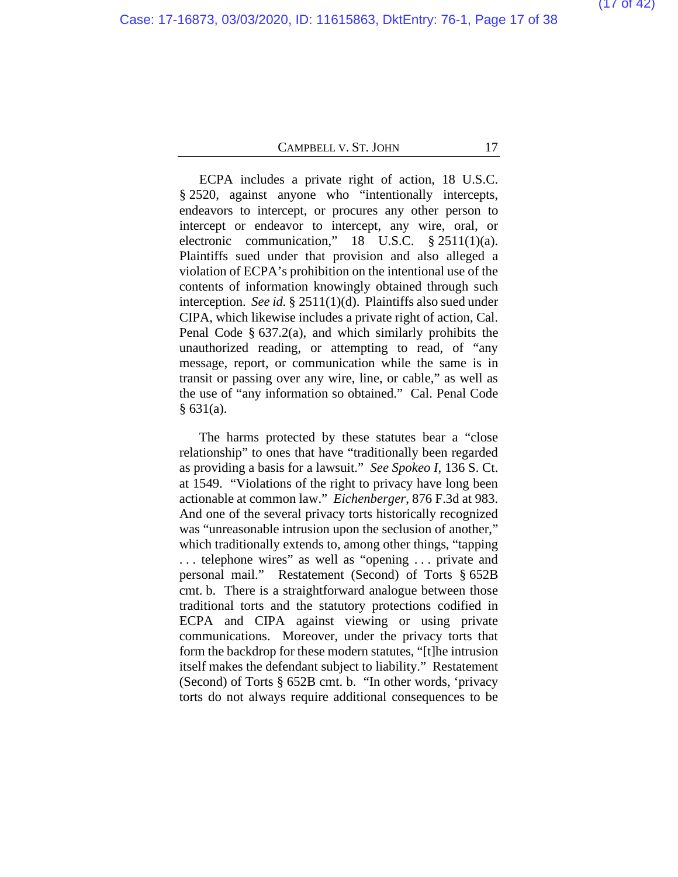ECPA includes a private right of action, 18 U.S.C. § 2520, against anyone who "intentionally intercepts, endeavors to intercept, or procures any other person to intercept or endeavor to intercept, any wire, oral, or electronic communication," 18 U.S.C. § 2511(1)(a). Plaintiffs sued under that provision and also alleged a violation of ECPA's prohibition on the intentional use of the contents of information knowingly obtained through such interception. *See id.* § 2511(1)(d). Plaintiffs also sued under CIPA, which likewise includes a private right of action, Cal. Penal Code  $\S$  637.2(a), and which similarly prohibits the unauthorized reading, or attempting to read, of "any message, report, or communication while the same is in transit or passing over any wire, line, or cable," as well as the use of "any information so obtained." Cal. Penal Code  $§ 631(a).$ 

The harms protected by these statutes bear a "close relationship" to ones that have "traditionally been regarded as providing a basis for a lawsuit." *See Spokeo I*, 136 S. Ct. at 1549. "Violations of the right to privacy have long been actionable at common law." *Eichenberger*, 876 F.3d at 983. And one of the several privacy torts historically recognized was "unreasonable intrusion upon the seclusion of another," which traditionally extends to, among other things, "tapping . . . telephone wires" as well as "opening . . . private and personal mail." Restatement (Second) of Torts § 652B cmt. b. There is a straightforward analogue between those traditional torts and the statutory protections codified in ECPA and CIPA against viewing or using private communications. Moreover, under the privacy torts that form the backdrop for these modern statutes, "[t]he intrusion itself makes the defendant subject to liability." Restatement (Second) of Torts § 652B cmt. b. "In other words, 'privacy torts do not always require additional consequences to be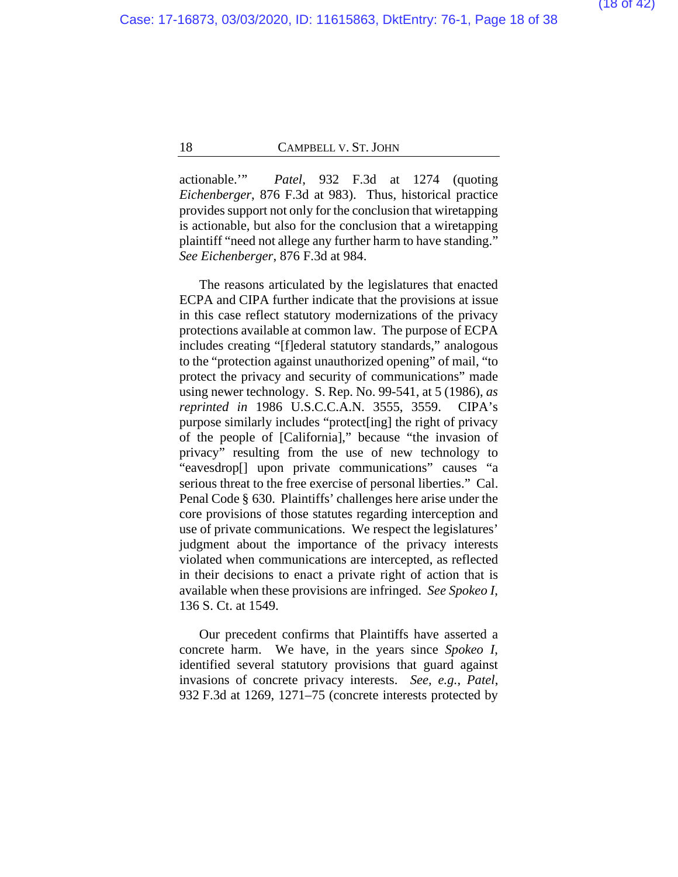actionable.'" *Patel*, 932 F.3d at 1274 (quoting *Eichenberger*, 876 F.3d at 983). Thus, historical practice provides support not only for the conclusion that wiretapping is actionable, but also for the conclusion that a wiretapping plaintiff "need not allege any further harm to have standing." *See Eichenberger*, 876 F.3d at 984.

The reasons articulated by the legislatures that enacted ECPA and CIPA further indicate that the provisions at issue in this case reflect statutory modernizations of the privacy protections available at common law. The purpose of ECPA includes creating "[f]ederal statutory standards," analogous to the "protection against unauthorized opening" of mail, "to protect the privacy and security of communications" made using newer technology. S. Rep. No. 99-541, at 5 (1986), *as reprinted in* 1986 U.S.C.C.A.N. 3555, 3559. CIPA's purpose similarly includes "protect[ing] the right of privacy of the people of [California]," because "the invasion of privacy" resulting from the use of new technology to "eavesdrop[] upon private communications" causes "a serious threat to the free exercise of personal liberties." Cal. Penal Code § 630. Plaintiffs' challenges here arise under the core provisions of those statutes regarding interception and use of private communications. We respect the legislatures' judgment about the importance of the privacy interests violated when communications are intercepted, as reflected in their decisions to enact a private right of action that is available when these provisions are infringed. *See Spokeo I*, 136 S. Ct. at 1549.

Our precedent confirms that Plaintiffs have asserted a concrete harm. We have, in the years since *Spokeo I*, identified several statutory provisions that guard against invasions of concrete privacy interests. *See, e.g.*, *Patel*, 932 F.3d at 1269, 1271–75 (concrete interests protected by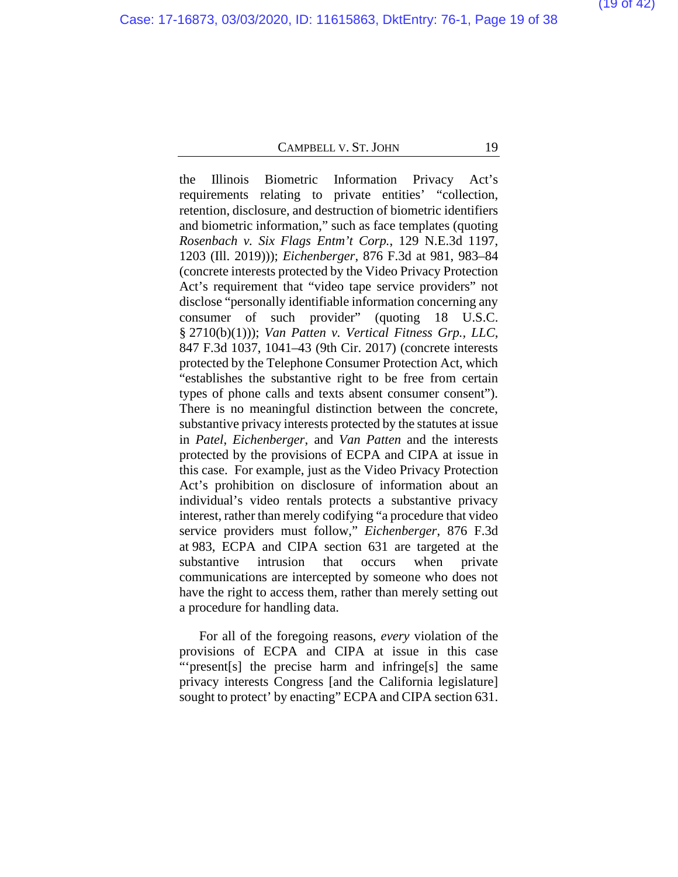the Illinois Biometric Information Privacy Act's requirements relating to private entities' "collection, retention, disclosure, and destruction of biometric identifiers and biometric information," such as face templates (quoting *Rosenbach v. Six Flags Entm't Corp.*, 129 N.E.3d 1197, 1203 (Ill. 2019))); *Eichenberger*, 876 F.3d at 981, 983–84 (concrete interests protected by the Video Privacy Protection Act's requirement that "video tape service providers" not disclose "personally identifiable information concerning any consumer of such provider" (quoting 18 U.S.C. § 2710(b)(1))); *Van Patten v. Vertical Fitness Grp., LLC*, 847 F.3d 1037, 1041–43 (9th Cir. 2017) (concrete interests protected by the Telephone Consumer Protection Act, which "establishes the substantive right to be free from certain types of phone calls and texts absent consumer consent"). There is no meaningful distinction between the concrete, substantive privacy interests protected by the statutes at issue in *Patel*, *Eichenberger*, and *Van Patten* and the interests protected by the provisions of ECPA and CIPA at issue in this case. For example, just as the Video Privacy Protection Act's prohibition on disclosure of information about an individual's video rentals protects a substantive privacy interest, rather than merely codifying "a procedure that video service providers must follow," *Eichenberger*, 876 F.3d at 983, ECPA and CIPA section 631 are targeted at the substantive intrusion that occurs when private communications are intercepted by someone who does not have the right to access them, rather than merely setting out a procedure for handling data.

For all of the foregoing reasons, *every* violation of the provisions of ECPA and CIPA at issue in this case "'present[s] the precise harm and infringe[s] the same privacy interests Congress [and the California legislature] sought to protect' by enacting" ECPA and CIPA section 631.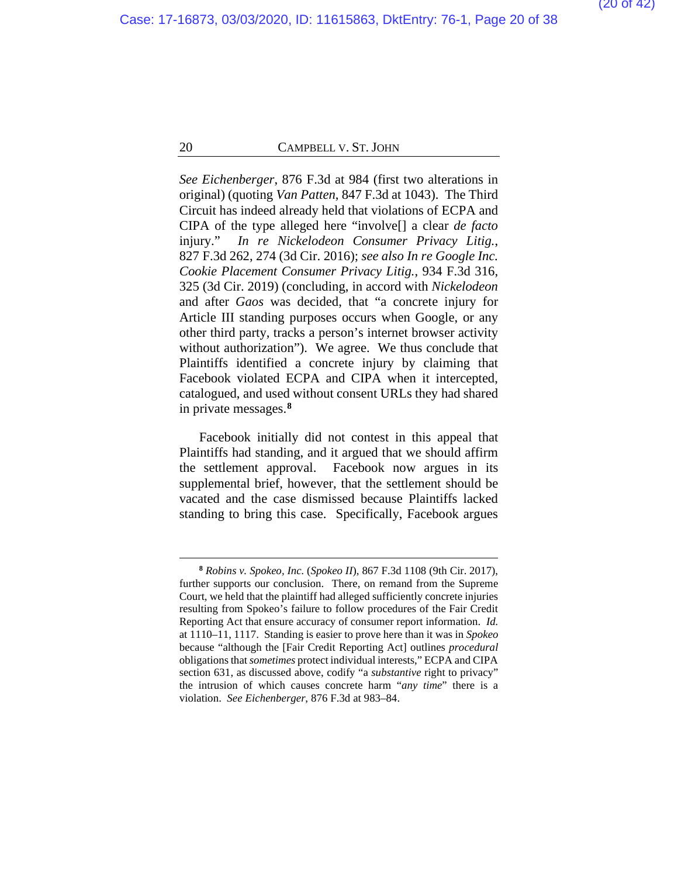*See Eichenberger*, 876 F.3d at 984 (first two alterations in original) (quoting *Van Patten*, 847 F.3d at 1043). The Third Circuit has indeed already held that violations of ECPA and CIPA of the type alleged here "involve[] a clear *de facto*  injury." *In re Nickelodeon Consumer Privacy Litig.*, 827 F.3d 262, 274 (3d Cir. 2016); *see also In re Google Inc. Cookie Placement Consumer Privacy Litig.*, 934 F.3d 316, 325 (3d Cir. 2019) (concluding, in accord with *Nickelodeon*  and after *Gaos* was decided, that "a concrete injury for Article III standing purposes occurs when Google, or any other third party, tracks a person's internet browser activity without authorization"). We agree. We thus conclude that Plaintiffs identified a concrete injury by claiming that Facebook violated ECPA and CIPA when it intercepted, catalogued, and used without consent URLs they had shared in private messages.**[8](#page-37-0)**

Facebook initially did not contest in this appeal that Plaintiffs had standing, and it argued that we should affirm the settlement approval. Facebook now argues in its supplemental brief, however, that the settlement should be vacated and the case dismissed because Plaintiffs lacked standing to bring this case. Specifically, Facebook argues

**<sup>8</sup>** *Robins v. Spokeo, Inc.* (*Spokeo II*), 867 F.3d 1108 (9th Cir. 2017), further supports our conclusion. There, on remand from the Supreme Court, we held that the plaintiff had alleged sufficiently concrete injuries resulting from Spokeo's failure to follow procedures of the Fair Credit Reporting Act that ensure accuracy of consumer report information. *Id.*  at 1110–11, 1117. Standing is easier to prove here than it was in *Spokeo*  because "although the [Fair Credit Reporting Act] outlines *procedural*  obligations that *sometimes* protect individual interests," ECPA and CIPA section 631, as discussed above, codify "a *substantive* right to privacy" the intrusion of which causes concrete harm "*any time*" there is a violation. *See Eichenberger*, 876 F.3d at 983–84.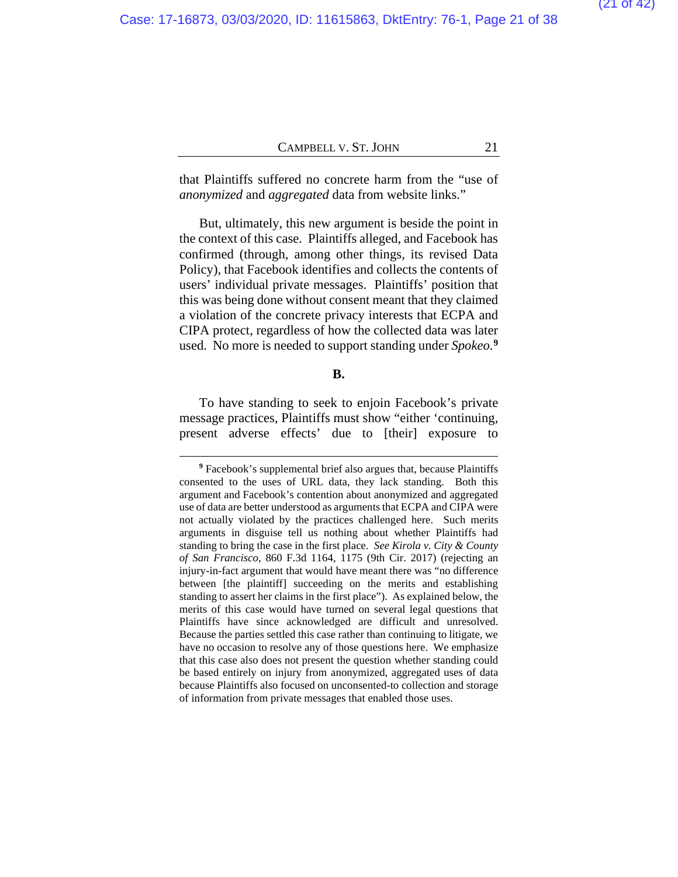that Plaintiffs suffered no concrete harm from the "use of *anonymized* and *aggregated* data from website links."

But, ultimately, this new argument is beside the point in the context of this case. Plaintiffs alleged, and Facebook has confirmed (through, among other things, its revised Data Policy), that Facebook identifies and collects the contents of users' individual private messages. Plaintiffs' position that this was being done without consent meant that they claimed a violation of the concrete privacy interests that ECPA and CIPA protect, regardless of how the collected data was later used. No more is needed to support standing under *Spokeo*. **[9](#page-37-0)**

#### **B.**

To have standing to seek to enjoin Facebook's private message practices, Plaintiffs must show "either 'continuing, present adverse effects' due to [their] exposure to

**<sup>9</sup>** Facebook's supplemental brief also argues that, because Plaintiffs consented to the uses of URL data, they lack standing. Both this argument and Facebook's contention about anonymized and aggregated use of data are better understood as arguments that ECPA and CIPA were not actually violated by the practices challenged here. Such merits arguments in disguise tell us nothing about whether Plaintiffs had standing to bring the case in the first place. *See Kirola v. City & County of San Francisco*, 860 F.3d 1164, 1175 (9th Cir. 2017) (rejecting an injury-in-fact argument that would have meant there was "no difference between [the plaintiff] succeeding on the merits and establishing standing to assert her claims in the first place"). As explained below, the merits of this case would have turned on several legal questions that Plaintiffs have since acknowledged are difficult and unresolved. Because the parties settled this case rather than continuing to litigate, we have no occasion to resolve any of those questions here. We emphasize that this case also does not present the question whether standing could be based entirely on injury from anonymized, aggregated uses of data because Plaintiffs also focused on unconsented-to collection and storage of information from private messages that enabled those uses.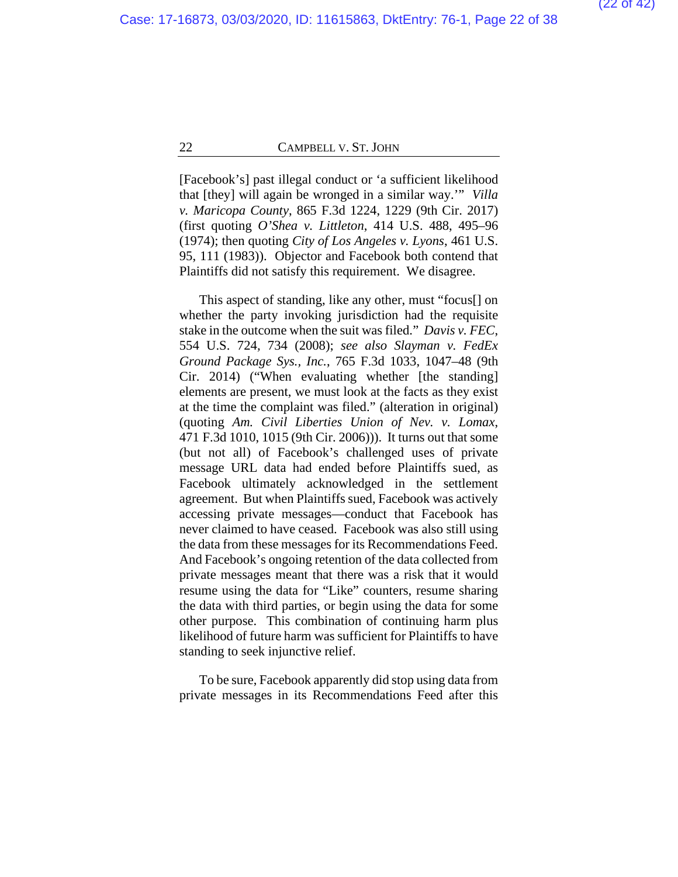[Facebook's] past illegal conduct or 'a sufficient likelihood that [they] will again be wronged in a similar way.'" *Villa v. Maricopa County*, 865 F.3d 1224, 1229 (9th Cir. 2017) (first quoting *O'Shea v. Littleton*, 414 U.S. 488, 495–96 (1974); then quoting *City of Los Angeles v. Lyons*, 461 U.S. 95, 111 (1983)). Objector and Facebook both contend that Plaintiffs did not satisfy this requirement. We disagree.

This aspect of standing, like any other, must "focus[] on whether the party invoking jurisdiction had the requisite stake in the outcome when the suit was filed." *Davis v. FEC*, 554 U.S. 724*,* 734 (2008); *see also Slayman v. FedEx Ground Package Sys., Inc.*, 765 F.3d 1033, 1047–48 (9th Cir. 2014) ("When evaluating whether [the standing] elements are present, we must look at the facts as they exist at the time the complaint was filed." (alteration in original) (quoting *Am. Civil Liberties Union of Nev. v. Lomax*, 471 F.3d 1010, 1015 (9th Cir. 2006))). It turns out that some (but not all) of Facebook's challenged uses of private message URL data had ended before Plaintiffs sued, as Facebook ultimately acknowledged in the settlement agreement. But when Plaintiffs sued, Facebook was actively accessing private messages—conduct that Facebook has never claimed to have ceased. Facebook was also still using the data from these messages for its Recommendations Feed. And Facebook's ongoing retention of the data collected from private messages meant that there was a risk that it would resume using the data for "Like" counters, resume sharing the data with third parties, or begin using the data for some other purpose.This combination of continuing harm plus likelihood of future harm was sufficient for Plaintiffs to have standing to seek injunctive relief.

To be sure, Facebook apparently did stop using data from private messages in its Recommendations Feed after this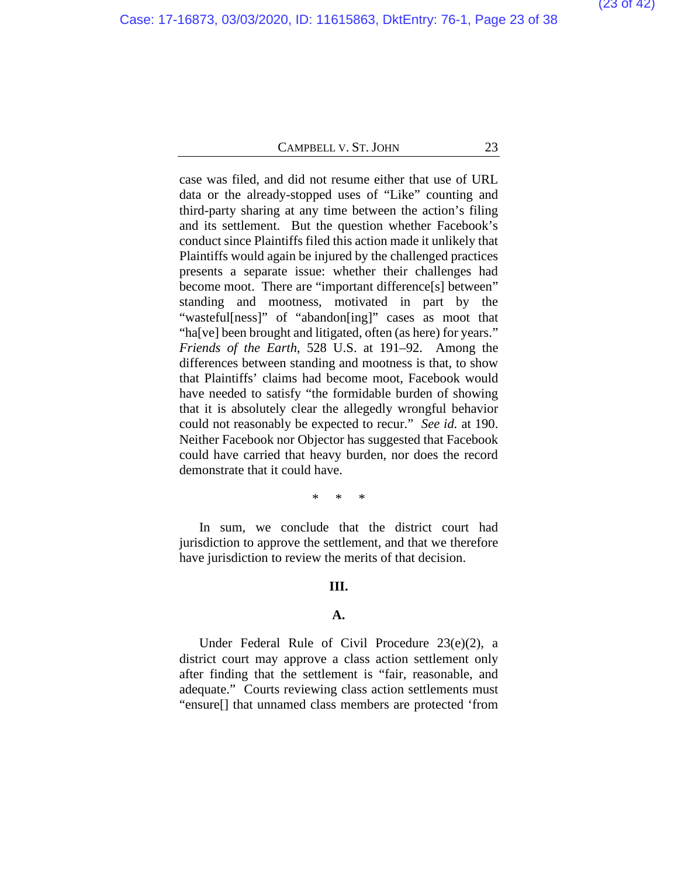case was filed, and did not resume either that use of URL data or the already-stopped uses of "Like" counting and third-party sharing at any time between the action's filing and its settlement. But the question whether Facebook's conduct since Plaintiffs filed this action made it unlikely that Plaintiffs would again be injured by the challenged practices presents a separate issue: whether their challenges had become moot. There are "important difference[s] between" standing and mootness, motivated in part by the "wasteful[ness]" of "abandon[ing]" cases as moot that "ha[ve] been brought and litigated, often (as here) for years." *Friends of the Earth*, 528 U.S. at 191–92. Among the differences between standing and mootness is that, to show that Plaintiffs' claims had become moot, Facebook would have needed to satisfy "the formidable burden of showing that it is absolutely clear the allegedly wrongful behavior could not reasonably be expected to recur." *See id.* at 190. Neither Facebook nor Objector has suggested that Facebook could have carried that heavy burden, nor does the record demonstrate that it could have.

\* \* \*

In sum, we conclude that the district court had jurisdiction to approve the settlement, and that we therefore have jurisdiction to review the merits of that decision.

#### **III.**

#### **A.**

Under Federal Rule of Civil Procedure 23(e)(2), a district court may approve a class action settlement only after finding that the settlement is "fair, reasonable, and adequate." Courts reviewing class action settlements must "ensure[] that unnamed class members are protected 'from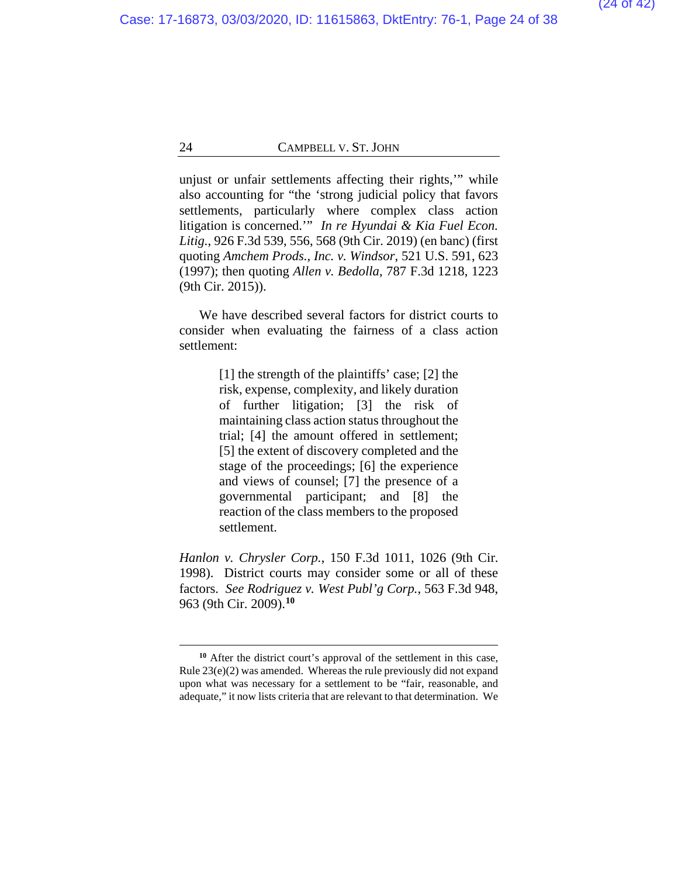unjust or unfair settlements affecting their rights,'" while also accounting for "the 'strong judicial policy that favors settlements, particularly where complex class action litigation is concerned.'" *In re Hyundai & Kia Fuel Econ. Litig.*, 926 F.3d 539, 556, 568 (9th Cir. 2019) (en banc) (first quoting *Amchem Prods., Inc. v. Windsor*, 521 U.S. 591, 623 (1997); then quoting *Allen v. Bedolla*, 787 F.3d 1218, 1223 (9th Cir. 2015)).

We have described several factors for district courts to consider when evaluating the fairness of a class action settlement:

> [1] the strength of the plaintiffs' case; [2] the risk, expense, complexity, and likely duration of further litigation; [3] the risk of maintaining class action status throughout the trial; [4] the amount offered in settlement; [5] the extent of discovery completed and the stage of the proceedings; [6] the experience and views of counsel; [7] the presence of a governmental participant; and [8] the reaction of the class members to the proposed settlement.

*Hanlon v. Chrysler Corp.*, 150 F.3d 1011, 1026 (9th Cir. 1998). District courts may consider some or all of these factors. *See Rodriguez v. West Publ'g Corp.*, 563 F.3d 948, 963 (9th Cir. 2009).**[10](#page-37-0)**

**<sup>10</sup>** After the district court's approval of the settlement in this case, Rule 23(e)(2) was amended. Whereas the rule previously did not expand upon what was necessary for a settlement to be "fair, reasonable, and adequate," it now lists criteria that are relevant to that determination. We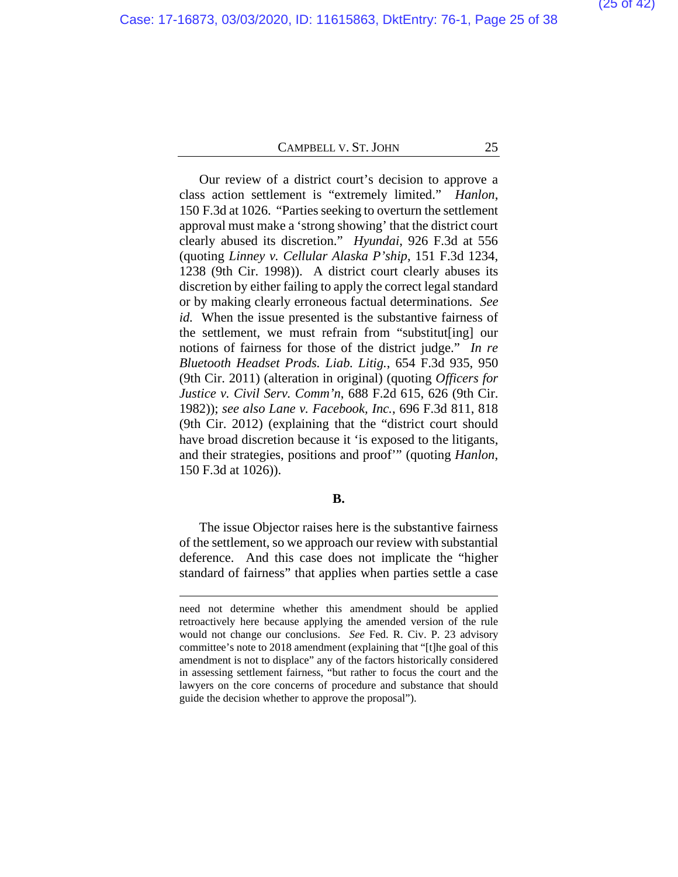Our review of a district court's decision to approve a class action settlement is "extremely limited." *Hanlon*, 150 F.3d at 1026. "Parties seeking to overturn the settlement approval must make a 'strong showing' that the district court clearly abused its discretion." *Hyundai*, 926 F.3d at 556 (quoting *Linney v. Cellular Alaska P'ship*, 151 F.3d 1234, 1238 (9th Cir. 1998)).A district court clearly abuses its discretion by either failing to apply the correct legal standard or by making clearly erroneous factual determinations. *See id.* When the issue presented is the substantive fairness of the settlement, we must refrain from "substitut[ing] our notions of fairness for those of the district judge." *In re Bluetooth Headset Prods. Liab. Litig.*, 654 F.3d 935, 950 (9th Cir. 2011) (alteration in original) (quoting *Officers for Justice v. Civil Serv. Comm'n*, 688 F.2d 615, 626 (9th Cir. 1982)); *see also Lane v. Facebook, Inc.*, 696 F.3d 811, 818 (9th Cir. 2012) (explaining that the "district court should have broad discretion because it 'is exposed to the litigants, and their strategies, positions and proof'" (quoting *Hanlon*, 150 F.3d at 1026)).

#### **B.**

The issue Objector raises here is the substantive fairness of the settlement, so we approach our review with substantial deference. And this case does not implicate the "higher standard of fairness" that applies when parties settle a case

need not determine whether this amendment should be applied retroactively here because applying the amended version of the rule would not change our conclusions. *See* Fed. R. Civ. P. 23 advisory committee's note to 2018 amendment (explaining that "[t]he goal of this amendment is not to displace" any of the factors historically considered in assessing settlement fairness, "but rather to focus the court and the lawyers on the core concerns of procedure and substance that should guide the decision whether to approve the proposal").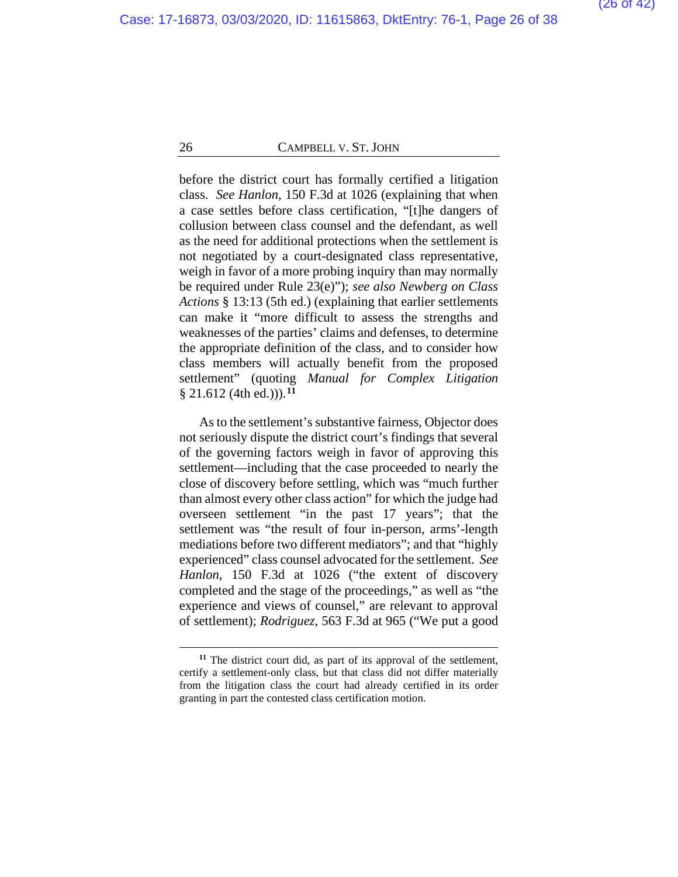before the district court has formally certified a litigation class. *See Hanlon*, 150 F.3d at 1026 (explaining that when a case settles before class certification, "[t]he dangers of collusion between class counsel and the defendant, as well as the need for additional protections when the settlement is not negotiated by a court-designated class representative, weigh in favor of a more probing inquiry than may normally be required under Rule 23(e)"); *see also Newberg on Class Actions* § 13:13 (5th ed.) (explaining that earlier settlements can make it "more difficult to assess the strengths and weaknesses of the parties' claims and defenses, to determine the appropriate definition of the class, and to consider how class members will actually benefit from the proposed settlement" (quoting *Manual for Complex Litigation*  § 21.612 (4th ed.))).**[11](#page-37-0)**

As to the settlement's substantive fairness, Objector does not seriously dispute the district court's findings that several of the governing factors weigh in favor of approving this settlement—including that the case proceeded to nearly the close of discovery before settling, which was "much further than almost every other class action" for which the judge had overseen settlement "in the past 17 years"; that the settlement was "the result of four in-person, arms'-length mediations before two different mediators"; and that "highly experienced" class counsel advocated for the settlement. *See Hanlon*, 150 F.3d at 1026 ("the extent of discovery completed and the stage of the proceedings," as well as "the experience and views of counsel," are relevant to approval of settlement); *Rodriguez*, 563 F.3d at 965 ("We put a good

**<sup>11</sup>** The district court did, as part of its approval of the settlement, certify a settlement-only class, but that class did not differ materially from the litigation class the court had already certified in its order granting in part the contested class certification motion.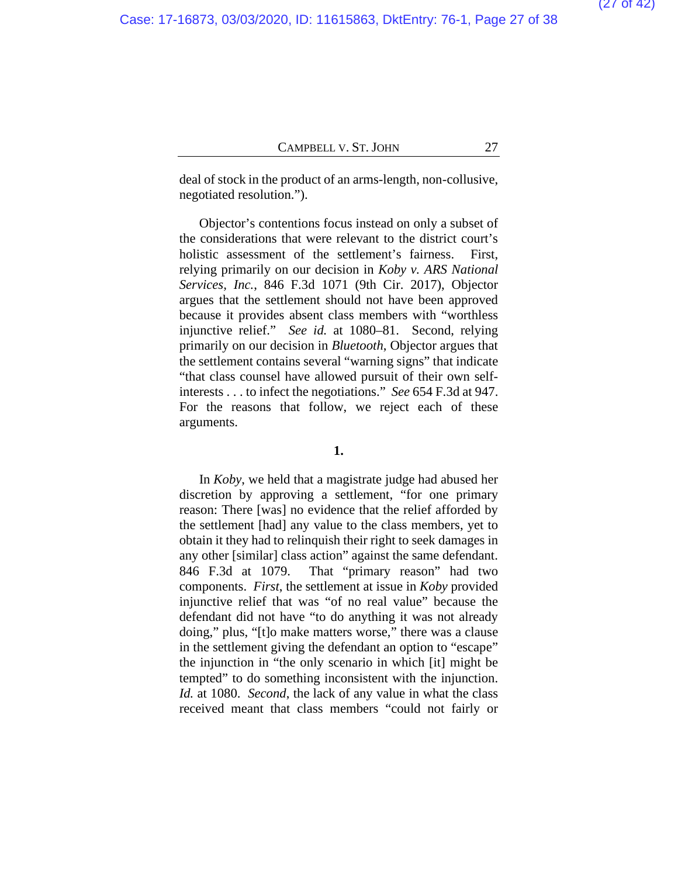deal of stock in the product of an arms-length, non-collusive, negotiated resolution.").

Objector's contentions focus instead on only a subset of the considerations that were relevant to the district court's holistic assessment of the settlement's fairness. First, relying primarily on our decision in *Koby v. ARS National Services, Inc.*, 846 F.3d 1071 (9th Cir. 2017), Objector argues that the settlement should not have been approved because it provides absent class members with "worthless injunctive relief." *See id.* at 1080–81. Second, relying primarily on our decision in *Bluetooth*, Objector argues that the settlement contains several "warning signs" that indicate "that class counsel have allowed pursuit of their own selfinterests . . . to infect the negotiations." *See* 654 F.3d at 947. For the reasons that follow, we reject each of these arguments.

#### **1.**

In *Koby*, we held that a magistrate judge had abused her discretion by approving a settlement, "for one primary reason: There [was] no evidence that the relief afforded by the settlement [had] any value to the class members, yet to obtain it they had to relinquish their right to seek damages in any other [similar] class action" against the same defendant. 846 F.3d at 1079. That "primary reason" had two components. *First*, the settlement at issue in *Koby* provided injunctive relief that was "of no real value" because the defendant did not have "to do anything it was not already doing," plus, "[t]o make matters worse," there was a clause in the settlement giving the defendant an option to "escape" the injunction in "the only scenario in which [it] might be tempted" to do something inconsistent with the injunction. *Id.* at 1080. *Second*, the lack of any value in what the class received meant that class members "could not fairly or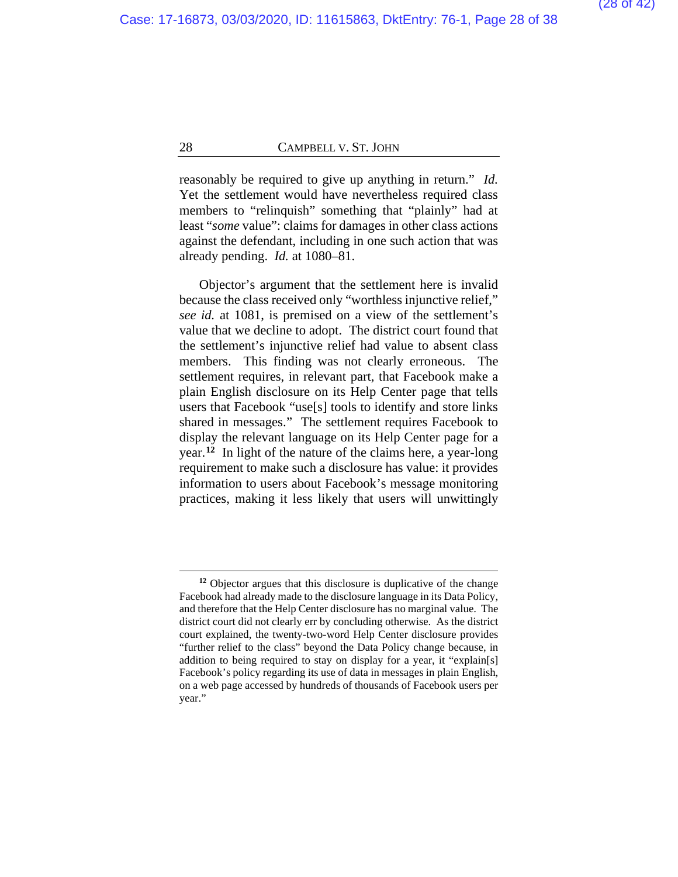reasonably be required to give up anything in return." *Id.*  Yet the settlement would have nevertheless required class members to "relinquish" something that "plainly" had at least "*some* value": claims for damages in other class actions against the defendant, including in one such action that was already pending. *Id.* at 1080–81.

Objector's argument that the settlement here is invalid because the class received only "worthless injunctive relief," *see id.* at 1081, is premised on a view of the settlement's value that we decline to adopt. The district court found that the settlement's injunctive relief had value to absent class members. This finding was not clearly erroneous. The settlement requires, in relevant part, that Facebook make a plain English disclosure on its Help Center page that tells users that Facebook "use[s] tools to identify and store links shared in messages." The settlement requires Facebook to display the relevant language on its Help Center page for a year.**[12](#page-37-0)** In light of the nature of the claims here, a year-long requirement to make such a disclosure has value: it provides information to users about Facebook's message monitoring practices, making it less likely that users will unwittingly

**<sup>12</sup>** Objector argues that this disclosure is duplicative of the change Facebook had already made to the disclosure language in its Data Policy, and therefore that the Help Center disclosure has no marginal value. The district court did not clearly err by concluding otherwise. As the district court explained, the twenty-two-word Help Center disclosure provides "further relief to the class" beyond the Data Policy change because, in addition to being required to stay on display for a year, it "explain[s] Facebook's policy regarding its use of data in messages in plain English, on a web page accessed by hundreds of thousands of Facebook users per year."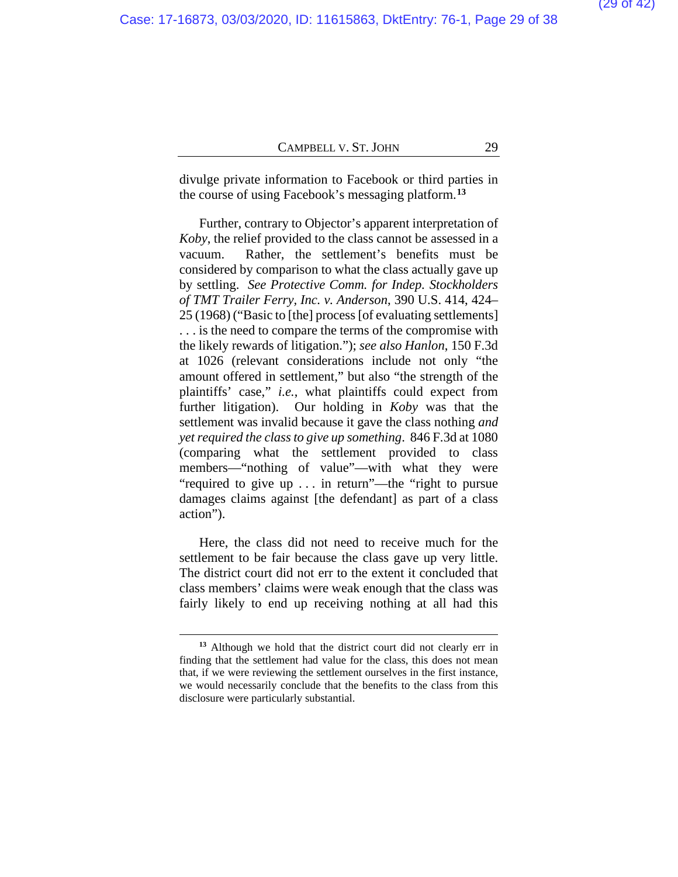divulge private information to Facebook or third parties in the course of using Facebook's messaging platform.**[13](#page-37-0)**

Further, contrary to Objector's apparent interpretation of *Koby*, the relief provided to the class cannot be assessed in a vacuum. Rather, the settlement's benefits must be considered by comparison to what the class actually gave up by settling. *See Protective Comm. for Indep. Stockholders of TMT Trailer Ferry, Inc. v. Anderson*, 390 U.S. 414, 424– 25 (1968) ("Basic to [the] process [of evaluating settlements] . . . is the need to compare the terms of the compromise with the likely rewards of litigation."); *see also Hanlon*, 150 F.3d at 1026 (relevant considerations include not only "the amount offered in settlement," but also "the strength of the plaintiffs' case," *i.e.*, what plaintiffs could expect from further litigation). Our holding in *Koby* was that the settlement was invalid because it gave the class nothing *and yetrequired the class to give up something*. 846 F.3d at 1080 (comparing what the settlement provided to class members—"nothing of value"—with what they were "required to give up . . . in return"—the "right to pursue damages claims against [the defendant] as part of a class action").

Here, the class did not need to receive much for the settlement to be fair because the class gave up very little. The district court did not err to the extent it concluded that class members' claims were weak enough that the class was fairly likely to end up receiving nothing at all had this

**<sup>13</sup>** Although we hold that the district court did not clearly err in finding that the settlement had value for the class, this does not mean that, if we were reviewing the settlement ourselves in the first instance, we would necessarily conclude that the benefits to the class from this disclosure were particularly substantial.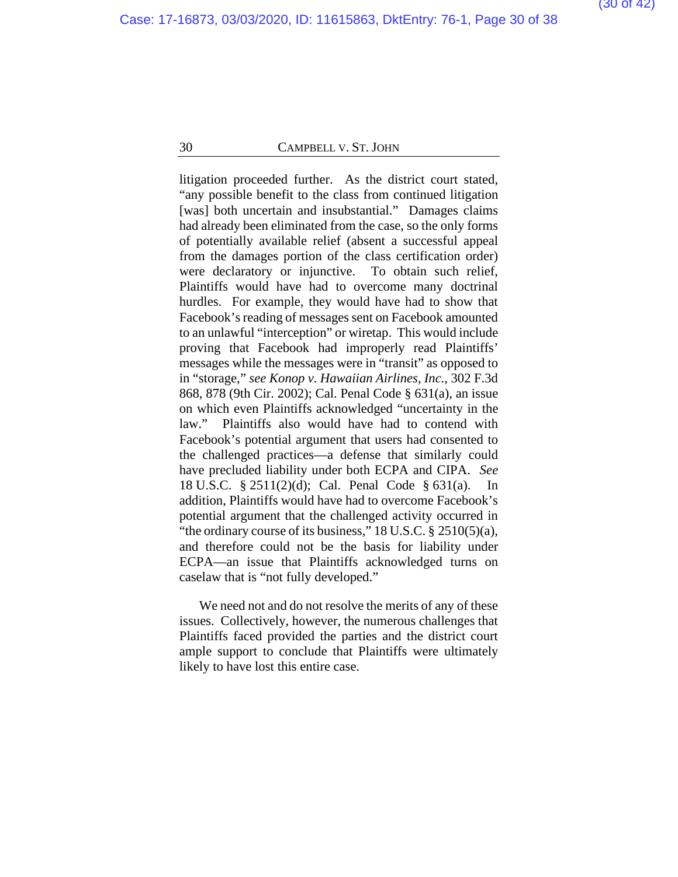litigation proceeded further. As the district court stated, "any possible benefit to the class from continued litigation [was] both uncertain and insubstantial." Damages claims had already been eliminated from the case, so the only forms of potentially available relief (absent a successful appeal from the damages portion of the class certification order) were declaratory or injunctive. To obtain such relief, Plaintiffs would have had to overcome many doctrinal hurdles. For example, they would have had to show that Facebook's reading of messages sent on Facebook amounted to an unlawful "interception" or wiretap. This would include proving that Facebook had improperly read Plaintiffs' messages while the messages were in "transit" as opposed to in "storage," *see Konop v. Hawaiian Airlines, Inc.*, 302 F.3d 868, 878 (9th Cir. 2002); Cal. Penal Code § 631(a), an issue on which even Plaintiffs acknowledged "uncertainty in the law." Plaintiffs also would have had to contend with Facebook's potential argument that users had consented to the challenged practices—a defense that similarly could have precluded liability under both ECPA and CIPA. *See*  18 U.S.C.  $\S 2511(2)(d)$ ; Cal. Penal Code  $\S 631(a)$ . addition, Plaintiffs would have had to overcome Facebook's potential argument that the challenged activity occurred in "the ordinary course of its business,"  $18$  U.S.C.  $\S$   $2510(5)(a)$ , and therefore could not be the basis for liability under ECPA—an issue that Plaintiffs acknowledged turns on caselaw that is "not fully developed."

We need not and do not resolve the merits of any of these issues. Collectively, however, the numerous challenges that Plaintiffs faced provided the parties and the district court ample support to conclude that Plaintiffs were ultimately likely to have lost this entire case.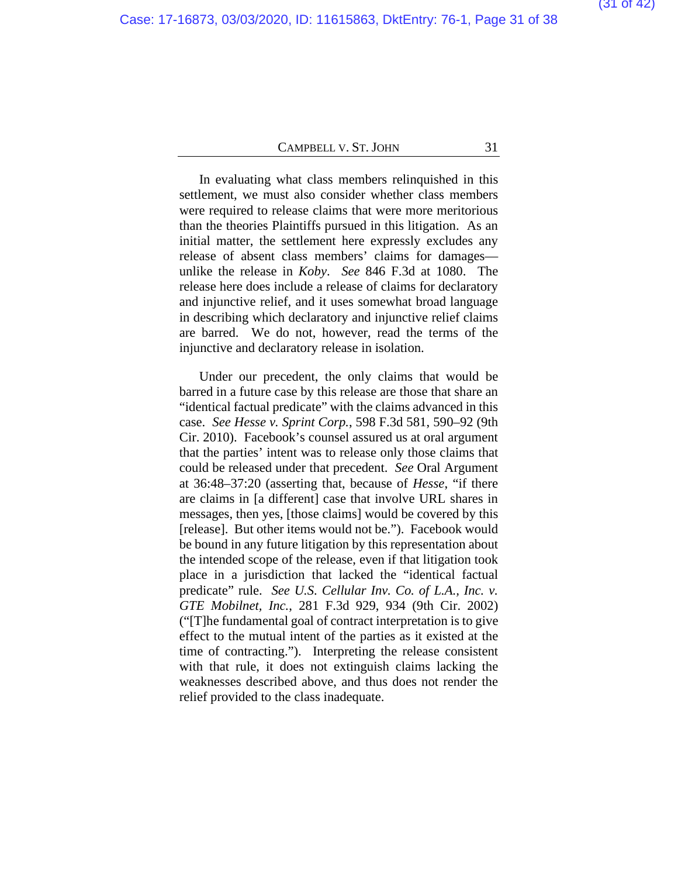In evaluating what class members relinquished in this settlement, we must also consider whether class members were required to release claims that were more meritorious than the theories Plaintiffs pursued in this litigation. As an initial matter, the settlement here expressly excludes any release of absent class members' claims for damages unlike the release in *Koby*. *See* 846 F.3d at 1080. The release here does include a release of claims for declaratory and injunctive relief, and it uses somewhat broad language in describing which declaratory and injunctive relief claims are barred. We do not, however, read the terms of the injunctive and declaratory release in isolation.

Under our precedent, the only claims that would be barred in a future case by this release are those that share an "identical factual predicate" with the claims advanced in this case. *See Hesse v. Sprint Corp.*, 598 F.3d 581, 590–92 (9th Cir. 2010). Facebook's counsel assured us at oral argument that the parties' intent was to release only those claims that could be released under that precedent. *See* Oral Argument at 36:48–37:20 (asserting that, because of *Hesse*, "if there are claims in [a different] case that involve URL shares in messages, then yes, [those claims] would be covered by this [release]. But other items would not be."). Facebook would be bound in any future litigation by this representation about the intended scope of the release, even if that litigation took place in a jurisdiction that lacked the "identical factual predicate" rule. *See U.S. Cellular Inv. Co. of L.A., Inc. v. GTE Mobilnet, Inc.*, 281 F.3d 929, 934 (9th Cir. 2002) ("[T]he fundamental goal of contract interpretation is to give effect to the mutual intent of the parties as it existed at the time of contracting."). Interpreting the release consistent with that rule, it does not extinguish claims lacking the weaknesses described above, and thus does not render the relief provided to the class inadequate.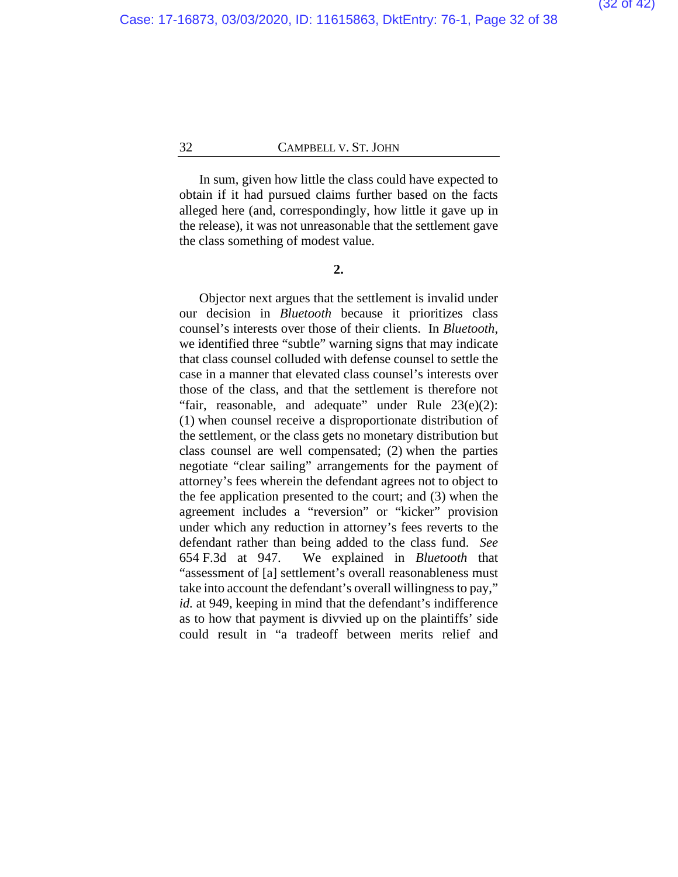In sum, given how little the class could have expected to obtain if it had pursued claims further based on the facts alleged here (and, correspondingly, how little it gave up in the release), it was not unreasonable that the settlement gave the class something of modest value.

#### **2.**

Objector next argues that the settlement is invalid under our decision in *Bluetooth* because it prioritizes class counsel's interests over those of their clients. In *Bluetooth*, we identified three "subtle" warning signs that may indicate that class counsel colluded with defense counsel to settle the case in a manner that elevated class counsel's interests over those of the class, and that the settlement is therefore not "fair, reasonable, and adequate" under Rule  $23(e)(2)$ : (1) when counsel receive a disproportionate distribution of the settlement, or the class gets no monetary distribution but class counsel are well compensated; (2) when the parties negotiate "clear sailing" arrangements for the payment of attorney's fees wherein the defendant agrees not to object to the fee application presented to the court; and (3) when the agreement includes a "reversion" or "kicker" provision under which any reduction in attorney's fees reverts to the defendant rather than being added to the class fund. *See*  654 F.3d at 947. We explained in *Bluetooth* that "assessment of [a] settlement's overall reasonableness must take into account the defendant's overall willingness to pay," *id.* at 949, keeping in mind that the defendant's indifference as to how that payment is divvied up on the plaintiffs' side could result in "a tradeoff between merits relief and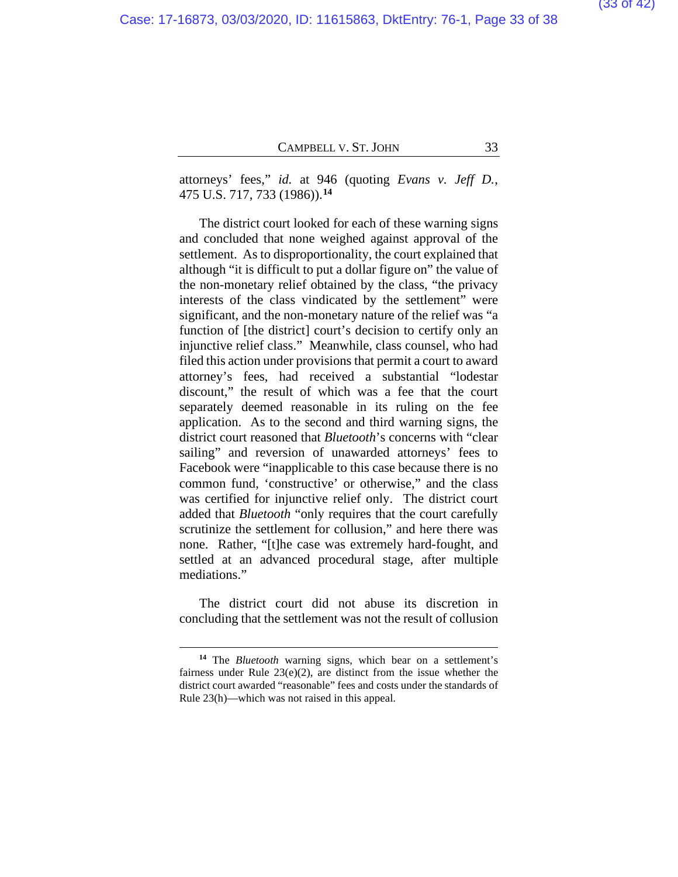attorneys' fees," *id.* at 946 (quoting *Evans v. Jeff D.*, 475 U.S. 717, 733 (1986)).**[14](#page-37-0)**

The district court looked for each of these warning signs and concluded that none weighed against approval of the settlement. As to disproportionality, the court explained that although "it is difficult to put a dollar figure on" the value of the non-monetary relief obtained by the class, "the privacy interests of the class vindicated by the settlement" were significant, and the non-monetary nature of the relief was "a function of [the district] court's decision to certify only an injunctive relief class." Meanwhile, class counsel, who had filed this action under provisions that permit a court to award attorney's fees, had received a substantial "lodestar discount," the result of which was a fee that the court separately deemed reasonable in its ruling on the fee application. As to the second and third warning signs, the district court reasoned that *Bluetooth*'s concerns with "clear sailing" and reversion of unawarded attorneys' fees to Facebook were "inapplicable to this case because there is no common fund, 'constructive' or otherwise," and the class was certified for injunctive relief only. The district court added that *Bluetooth* "only requires that the court carefully scrutinize the settlement for collusion," and here there was none. Rather, "[t]he case was extremely hard-fought, and settled at an advanced procedural stage, after multiple mediations."

The district court did not abuse its discretion in concluding that the settlement was not the result of collusion

**<sup>14</sup>** The *Bluetooth* warning signs, which bear on a settlement's fairness under Rule  $23(e)(2)$ , are distinct from the issue whether the district court awarded "reasonable" fees and costs under the standards of Rule 23(h)—which was not raised in this appeal.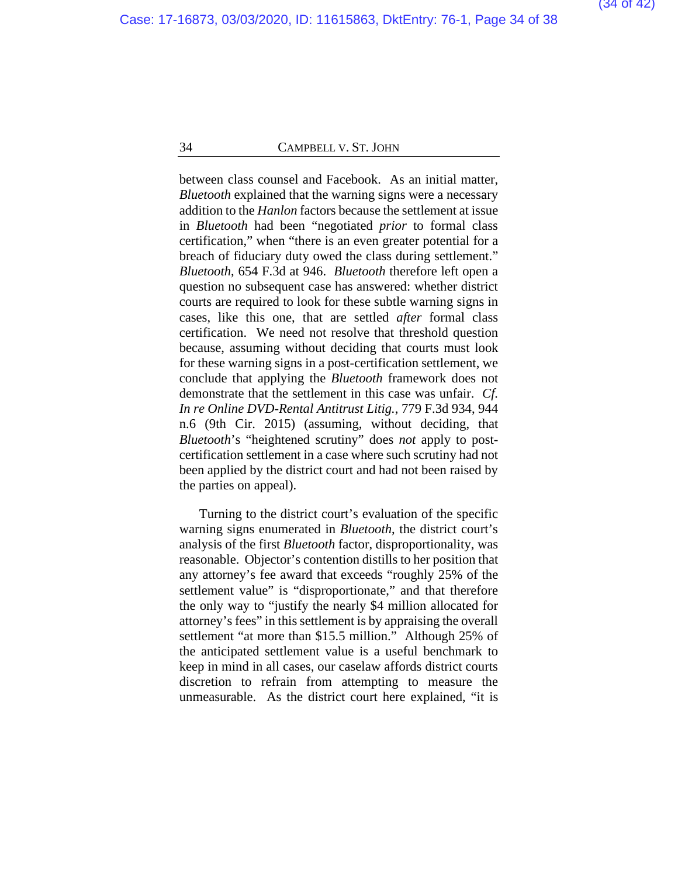between class counsel and Facebook. As an initial matter, *Bluetooth* explained that the warning signs were a necessary addition to the *Hanlon* factors because the settlement at issue in *Bluetooth* had been "negotiated *prior* to formal class certification," when "there is an even greater potential for a breach of fiduciary duty owed the class during settlement." *Bluetooth*, 654 F.3d at 946. *Bluetooth* therefore left open a question no subsequent case has answered: whether district courts are required to look for these subtle warning signs in cases, like this one, that are settled *after* formal class certification. We need not resolve that threshold question because, assuming without deciding that courts must look for these warning signs in a post-certification settlement, we conclude that applying the *Bluetooth* framework does not demonstrate that the settlement in this case was unfair. *Cf. In re Online DVD-Rental Antitrust Litig.*, 779 F.3d 934, 944 n.6 (9th Cir. 2015) (assuming, without deciding, that *Bluetooth*'s "heightened scrutiny" does *not* apply to postcertification settlement in a case where such scrutiny had not been applied by the district court and had not been raised by the parties on appeal).

Turning to the district court's evaluation of the specific warning signs enumerated in *Bluetooth*, the district court's analysis of the first *Bluetooth* factor, disproportionality, was reasonable. Objector's contention distills to her position that any attorney's fee award that exceeds "roughly 25% of the settlement value" is "disproportionate," and that therefore the only way to "justify the nearly \$4 million allocated for attorney's fees" in this settlement is by appraising the overall settlement "at more than \$15.5 million." Although 25% of the anticipated settlement value is a useful benchmark to keep in mind in all cases, our caselaw affords district courts discretion to refrain from attempting to measure the unmeasurable. As the district court here explained, "it is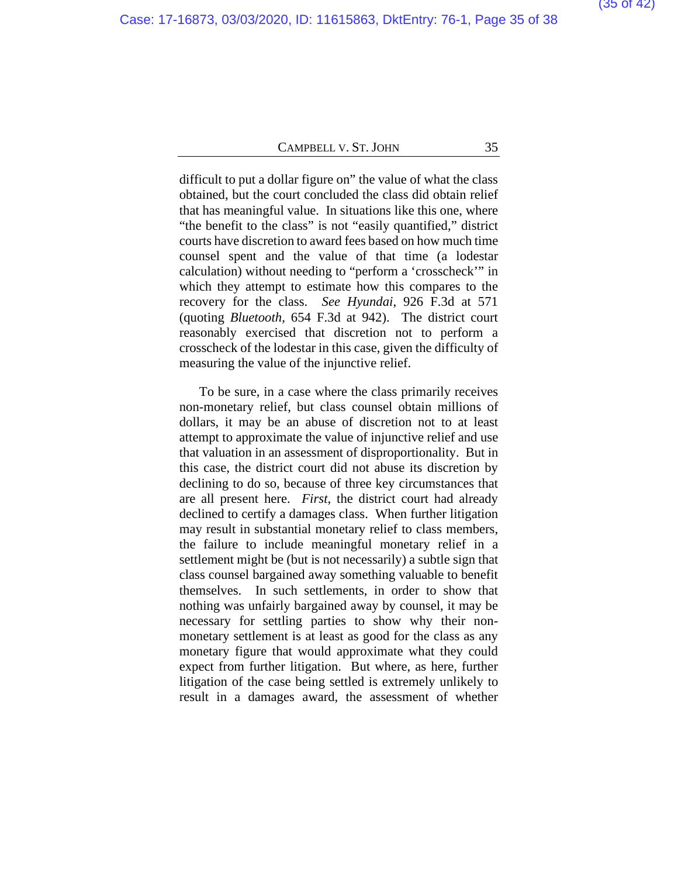difficult to put a dollar figure on" the value of what the class obtained, but the court concluded the class did obtain relief that has meaningful value. In situations like this one, where "the benefit to the class" is not "easily quantified," district courts have discretion to award fees based on how much time counsel spent and the value of that time (a lodestar calculation) without needing to "perform a 'crosscheck'" in which they attempt to estimate how this compares to the recovery for the class. *See Hyundai*, 926 F.3d at 571 (quoting *Bluetooth*, 654 F.3d at 942). The district court reasonably exercised that discretion not to perform a crosscheck of the lodestar in this case, given the difficulty of measuring the value of the injunctive relief.

To be sure, in a case where the class primarily receives non-monetary relief, but class counsel obtain millions of dollars, it may be an abuse of discretion not to at least attempt to approximate the value of injunctive relief and use that valuation in an assessment of disproportionality. But in this case, the district court did not abuse its discretion by declining to do so, because of three key circumstances that are all present here. *First*, the district court had already declined to certify a damages class. When further litigation may result in substantial monetary relief to class members, the failure to include meaningful monetary relief in a settlement might be (but is not necessarily) a subtle sign that class counsel bargained away something valuable to benefit themselves. In such settlements, in order to show that nothing was unfairly bargained away by counsel, it may be necessary for settling parties to show why their nonmonetary settlement is at least as good for the class as any monetary figure that would approximate what they could expect from further litigation. But where, as here, further litigation of the case being settled is extremely unlikely to result in a damages award, the assessment of whether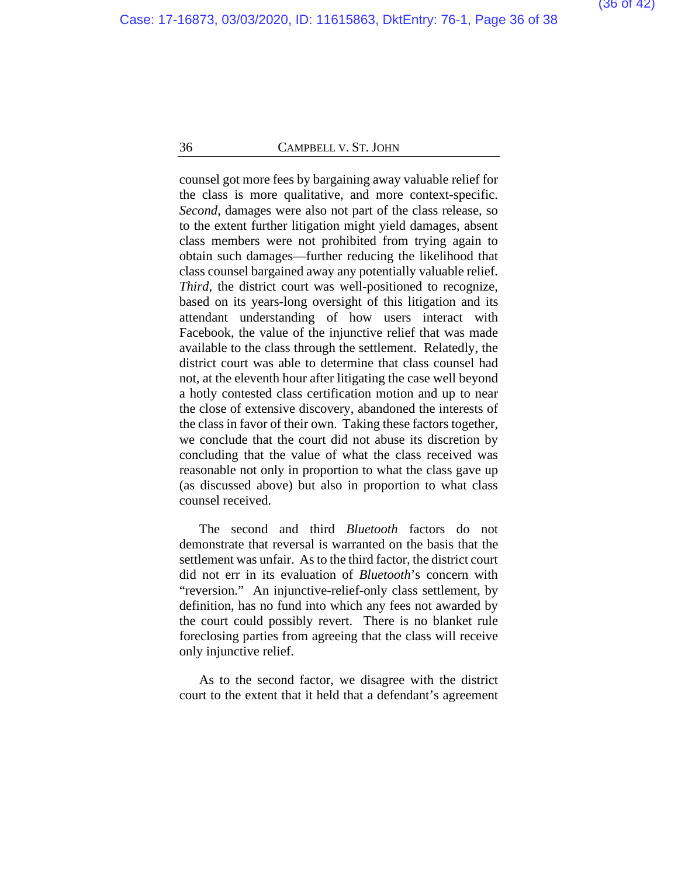counsel got more fees by bargaining away valuable relief for the class is more qualitative, and more context-specific. *Second*, damages were also not part of the class release, so to the extent further litigation might yield damages, absent class members were not prohibited from trying again to obtain such damages—further reducing the likelihood that class counsel bargained away any potentially valuable relief. *Third*, the district court was well-positioned to recognize, based on its years-long oversight of this litigation and its attendant understanding of how users interact with Facebook, the value of the injunctive relief that was made available to the class through the settlement. Relatedly, the district court was able to determine that class counsel had not, at the eleventh hour after litigating the case well beyond a hotly contested class certification motion and up to near the close of extensive discovery, abandoned the interests of the class in favor of their own. Taking these factors together, we conclude that the court did not abuse its discretion by concluding that the value of what the class received was reasonable not only in proportion to what the class gave up (as discussed above) but also in proportion to what class counsel received.

The second and third *Bluetooth* factors do not demonstrate that reversal is warranted on the basis that the settlement was unfair. As to the third factor, the district court did not err in its evaluation of *Bluetooth*'s concern with "reversion." An injunctive-relief-only class settlement, by definition, has no fund into which any fees not awarded by the court could possibly revert. There is no blanket rule foreclosing parties from agreeing that the class will receive only injunctive relief.

As to the second factor, we disagree with the district court to the extent that it held that a defendant's agreement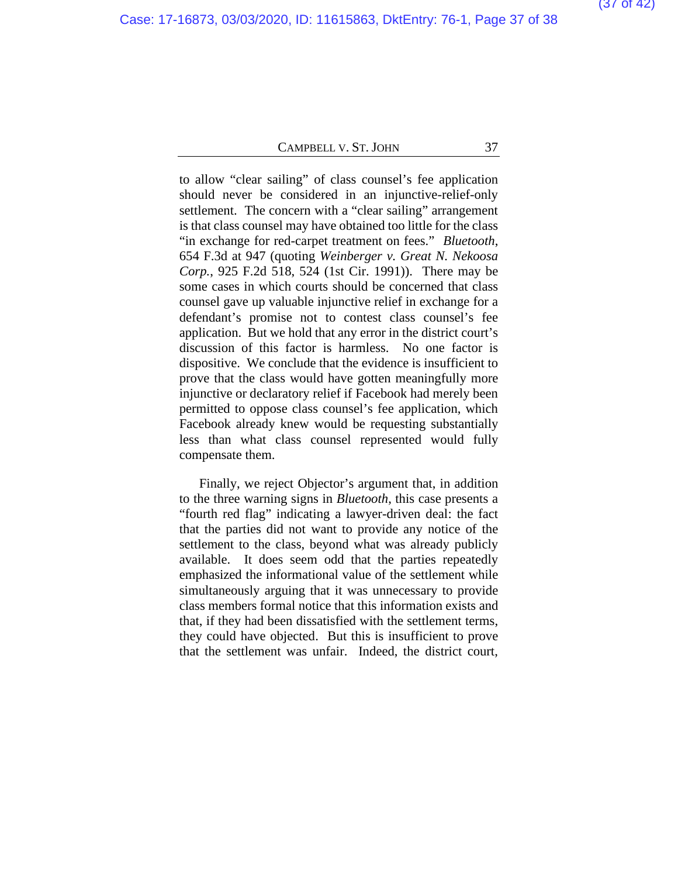to allow "clear sailing" of class counsel's fee application should never be considered in an injunctive-relief-only settlement. The concern with a "clear sailing" arrangement is that class counsel may have obtained too little for the class "in exchange for red-carpet treatment on fees." *Bluetooth*, 654 F.3d at 947 (quoting *Weinberger v. Great N. Nekoosa Corp.*, 925 F.2d 518, 524 (1st Cir. 1991)). There may be some cases in which courts should be concerned that class counsel gave up valuable injunctive relief in exchange for a defendant's promise not to contest class counsel's fee application. But we hold that any error in the district court's discussion of this factor is harmless. No one factor is dispositive. We conclude that the evidence is insufficient to prove that the class would have gotten meaningfully more injunctive or declaratory relief if Facebook had merely been permitted to oppose class counsel's fee application, which Facebook already knew would be requesting substantially less than what class counsel represented would fully compensate them.

Finally, we reject Objector's argument that, in addition to the three warning signs in *Bluetooth*, this case presents a "fourth red flag" indicating a lawyer-driven deal: the fact that the parties did not want to provide any notice of the settlement to the class, beyond what was already publicly available. It does seem odd that the parties repeatedly emphasized the informational value of the settlement while simultaneously arguing that it was unnecessary to provide class members formal notice that this information exists and that, if they had been dissatisfied with the settlement terms, they could have objected. But this is insufficient to prove that the settlement was unfair. Indeed, the district court,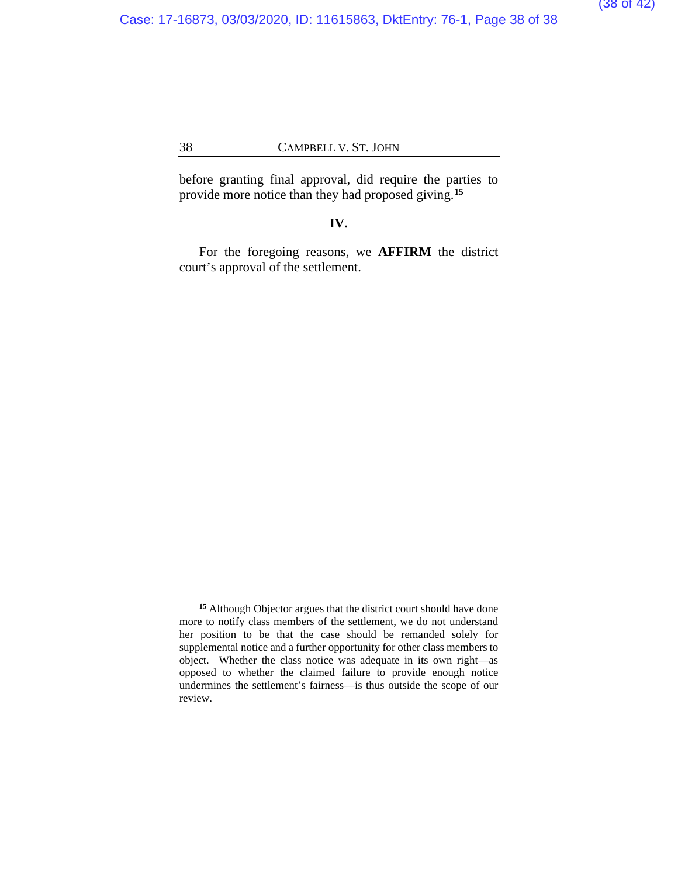before granting final approval, did require the parties to provide more notice than they had proposed giving.**[15](#page-37-0)**

#### **IV.**

For the foregoing reasons, we **AFFIRM** the district court's approval of the settlement.

<span id="page-37-0"></span>**<sup>15</sup>** Although Objector argues that the district court should have done more to notify class members of the settlement, we do not understand her position to be that the case should be remanded solely for supplemental notice and a further opportunity for other class members to object. Whether the class notice was adequate in its own right—as opposed to whether the claimed failure to provide enough notice undermines the settlement's fairness—is thus outside the scope of our review.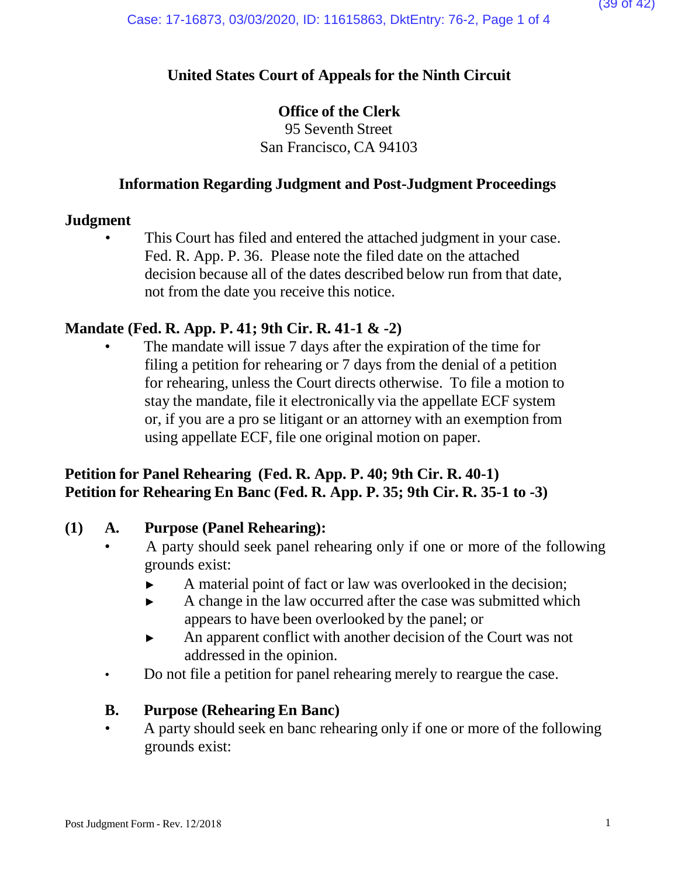# **United States Court of Appeals for the Ninth Circuit**

### **Office of the Clerk**

95 Seventh Street San Francisco, CA 94103

### **Information Regarding Judgment and Post-Judgment Proceedings**

### **Judgment**

This Court has filed and entered the attached judgment in your case. Fed. R. App. P. 36. Please note the filed date on the attached decision because all of the dates described below run from that date, not from the date you receive this notice.

## **Mandate (Fed. R. App. P. 41; 9th Cir. R. 41-1 & -2)**

The mandate will issue 7 days after the expiration of the time for filing a petition for rehearing or 7 days from the denial of a petition for rehearing, unless the Court directs otherwise. To file a motion to stay the mandate, file it electronically via the appellate ECF system or, if you are a pro se litigant or an attorney with an exemption from using appellate ECF, file one original motion on paper.

## **Petition for Panel Rehearing (Fed. R. App. P. 40; 9th Cir. R. 40-1) Petition for Rehearing En Banc (Fed. R. App. P. 35; 9th Cir. R. 35-1 to -3)**

### **(1) A. Purpose (Panel Rehearing):**

- A party should seek panel rehearing only if one or more of the following grounds exist:
	- ► A material point of fact or law was overlooked in the decision;
	- ► A change in the law occurred after the case was submitted which appears to have been overlooked by the panel; or
	- ► An apparent conflict with another decision of the Court was not addressed in the opinion.
- Do not file a petition for panel rehearing merely to reargue the case.

### **B. Purpose (Rehearing En Banc)**

• A party should seek en banc rehearing only if one or more of the following grounds exist: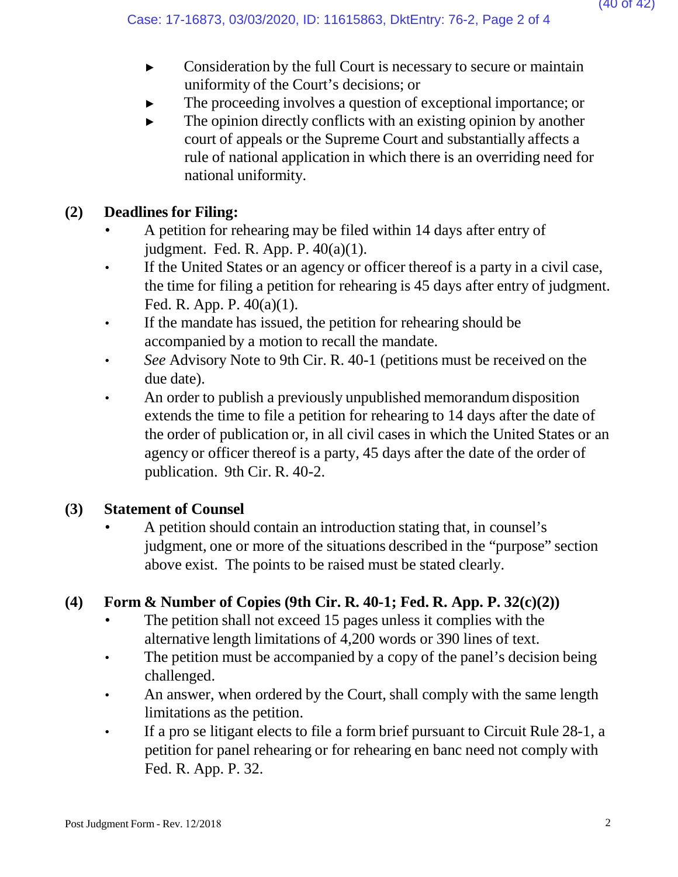- ► Consideration by the full Court is necessary to secure or maintain uniformity of the Court's decisions; or
- The proceeding involves a question of exceptional importance; or
- $\blacktriangleright$  The opinion directly conflicts with an existing opinion by another court of appeals or the Supreme Court and substantially affects a rule of national application in which there is an overriding need for national uniformity.

# **(2) Deadlines for Filing:**

- A petition for rehearing may be filed within 14 days after entry of judgment. Fed. R. App. P. 40(a)(1).
- If the United States or an agency or officer thereof is a party in a civil case, the time for filing a petition for rehearing is 45 days after entry of judgment. Fed. R. App. P. 40(a)(1).
- If the mandate has issued, the petition for rehearing should be accompanied by a motion to recall the mandate.
- *See* Advisory Note to 9th Cir. R. 40-1 (petitions must be received on the due date).
- An order to publish a previously unpublished memorandum disposition extends the time to file a petition for rehearing to 14 days after the date of the order of publication or, in all civil cases in which the United States or an agency or officer thereof is a party, 45 days after the date of the order of publication. 9th Cir. R. 40-2.

## **(3) Statement of Counsel**

• A petition should contain an introduction stating that, in counsel's judgment, one or more of the situations described in the "purpose" section above exist. The points to be raised must be stated clearly.

# **(4) Form & Number of Copies (9th Cir. R. 40-1; Fed. R. App. P. 32(c)(2))**

- The petition shall not exceed 15 pages unless it complies with the alternative length limitations of 4,200 words or 390 lines of text.
- The petition must be accompanied by a copy of the panel's decision being challenged.
- An answer, when ordered by the Court, shall comply with the same length limitations as the petition.
- If a pro se litigant elects to file a form brief pursuant to Circuit Rule 28-1, a petition for panel rehearing or for rehearing en banc need not comply with Fed. R. App. P. 32.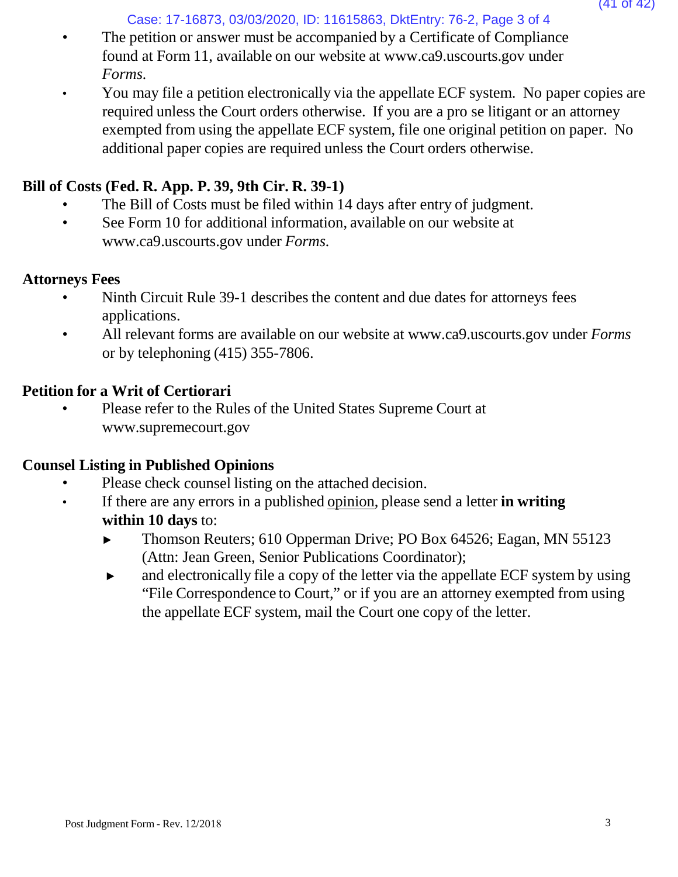### Case: 17-16873, 03/03/2020, ID: 11615863, DktEntry: 76-2, Page 3 of 4

- The petition or answer must be accompanied by a Certificate of Compliance found at Form 11, available on our website [at www.ca9.uscourts.gov](http://www.ca9.uscourts.gov/) under *Forms.*
- You may file a petition electronically via the appellate ECF system. No paper copies are required unless the Court orders otherwise. If you are a pro se litigant or an attorney exempted from using the appellate ECF system, file one original petition on paper. No additional paper copies are required unless the Court orders otherwise.

### **Bill of Costs (Fed. R. App. P. 39, 9th Cir. R. 39-1)**

- The Bill of Costs must be filed within 14 days after entry of judgment.
- See Form 10 for addi[t](http://www.ca9.uscourts.gov/)ional information, available on our website at [www.ca9.uscourts.gov](http://www.ca9.uscourts.gov/) under *Forms.*

### **Attorneys Fees**

- Ninth Circuit Rule 39-1 describes the content and due dates for attorneys fees applications.
- All relevant forms are available on our website at [www.ca9.uscourts.gov](http://www.ca9.uscourts.gov/) under *Forms* or by telephoning (415) 355-7806.

### **Petition for a Writ of Certiorari**

• Please refer to the Rules of the United States Supreme Court a[t](http://www.supremecourt.gov/) [www.supremecourt.gov](http://www.supremecourt.gov/)

### **Counsel Listing in Published Opinions**

- Please check counsel listing on the attached decision.
- If there are any errors in a published opinion, please send a letter **in writing within 10 days** to:
	- ► Thomson Reuters; 610 Opperman Drive; PO Box 64526; Eagan, MN 55123 (Attn: Jean Green, Senior Publications Coordinator);
	- ► and electronically file a copy of the letter via the appellate ECF system by using "File Correspondence to Court," or if you are an attorney exempted from using the appellate ECF system, mail the Court one copy of the letter.